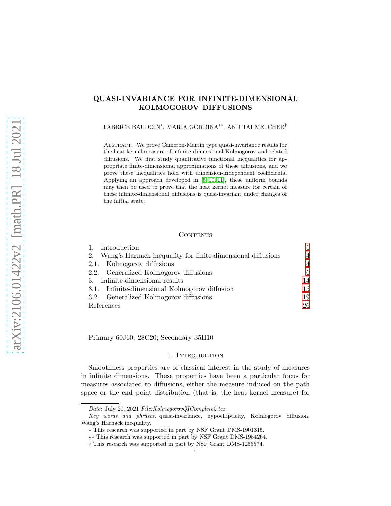# QUASI-INVARIANCE FOR INFINITE-DIMENSIONAL KOLMOGOROV DIFFUSIONS

<code>FABRICE</code> BAUDOIN\*, MARIA GORDINA\*\*, AND TAI MELCHER $^\dagger$ 

ABSTRACT. We prove Cameron-Martin type quasi-invariance results for the heat kernel measure of infinite-dimensional Kolmogorov and related diffusions. We first study quantitative functional inequalities for appropriate finite-dimensional approximations of these diffusions, and we prove these inequalities hold with dimension-independent coefficients. Applying an approach developed in [\[5,](#page-26-0) [10,](#page-26-1) [11\]](#page-26-2), these uniform bounds may then be used to prove that the heat kernel measure for certain of these infinite-dimensional diffusions is quasi-invariant under changes of the initial state.

## **CONTENTS**

| 1. Introduction                                                |                |
|----------------------------------------------------------------|----------------|
| 2. Wang's Harnack inequality for finite-dimensional diffusions | $\overline{4}$ |
| 2.1. Kolmogorov diffusions                                     | $\overline{4}$ |
| 2.2. Generalized Kolmogorov diffusions                         | 6              |
| 3. Infinite-dimensional results                                | 14             |
| 3.1. Infinite-dimensional Kolmogorov diffusion                 | 15             |
| 3.2. Generalized Kolmogorov diffusions                         | 19             |
| References                                                     | 26             |

<span id="page-0-0"></span>Primary 60J60, 28C20; Secondary 35H10

# 1. INTRODUCTION

Smoothness properties are of classical interest in the study of measures in infinite dimensions. These properties have been a particular focus for measures associated to diffusions, either the measure induced on the path space or the end point distribution (that is, the heat kernel measure) for

Date: July 20, 2021 File:KolmogorovQIComplete2.tex.

Key words and phrases. quasi-invariance, hypoellipticity, Kolmogorov diffusion, Wang's Harnack inequality.

<sup>∗</sup> This research was supported in part by NSF Grant DMS-1901315.

<sup>∗∗</sup> This research was supported in part by NSF Grant DMS-1954264.

<sup>†</sup> This research was supported in part by NSF Grant DMS-1255574.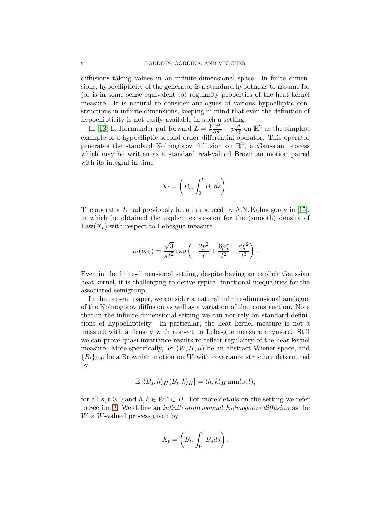diffusions taking values in an infinite-dimensional space. In finite dimensions, hypoellipticity of the generator is a standard hypothesis to assume for (or is in some sense equivalent to) regularity properties of the heat kernel measure. It is natural to consider analogues of various hypoelliptic constructions in infinite dimensions, keeping in mind that even the definition of hypoellipticity is not easily available in such a setting.

In [\[13\]](#page-26-3) L. Hörmander put forward  $L=\frac{1}{2}$ 2  $\frac{\partial^2}{\partial p^2} + p \frac{\partial}{\partial \xi}$  on  $\mathbb{R}^2$  as the simplest example of a hypoelliptic second order differential operator. This operator generates the standard Kolmogorov diffusion on  $\mathbb{R}^2$ , a Gaussian process which may be written as a standard real-valued Brownian motion paired with its integral in time

$$
X_t = \left(B_t, \int_0^t B_s ds\right).
$$

The operator  $L$  had previously been introduced by A.N. Kolmogorov in [\[15\]](#page-26-4), in which he obtained the explicit expression for the (smooth) density of  $Law(X_t)$  with respect to Lebesgue measure

$$
p_t(p,\xi) = \frac{\sqrt{3}}{\pi t^2} \exp\left(-\frac{2p^2}{t} + \frac{6p\xi}{t^2} - \frac{6\xi^2}{t^3}\right).
$$

Even in the finite-dimensional setting, despite having an explicit Gaussian heat kernel, it is challenging to derive typical functional inequalities for the associated semigroup.

In the present paper, we consider a natural infinite-dimensional analogue of the Kolmogorov diffusion as well as a variation of that construction. Note that in the infinite-dimensional setting we can not rely on standard definitions of hypoellipticity. In particular, the heat kernel measure is not a measure with a density with respect to Lebesgue measure anymore. Still we can prove quasi-invariance results to reflect regularity of the heat kernel measure. More specifically, let  $(W, H, \mu)$  be an abstract Wiener space, and  ${B_t}_{t\geq0}$  be a Brownian motion on W with covariance structure determined by

$$
\mathbb{E}\left[\langle B_s, h\rangle_H \langle B_t, k\rangle_H\right] = \langle h, k\rangle_H \min(s, t),
$$

for all  $s, t \geq 0$  and  $h, k \in W^* \subset H$ . For more details on the setting we refer to Section [3.](#page-13-0) We define an infinite-dimensional Kolmogorov diffusion as the  $W \times W$ -valued process given by

$$
X_t = \left(B_t, \int_0^t B_s ds\right).
$$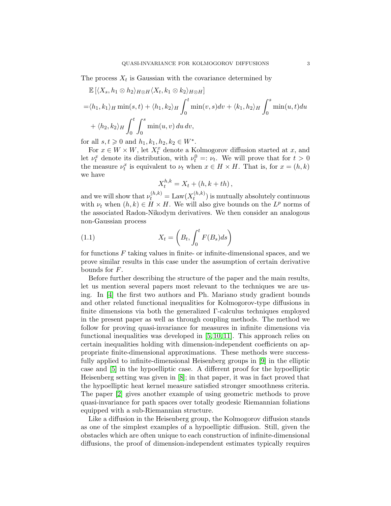The process  $X_t$  is Gaussian with the covariance determined by

$$
\mathbb{E} \left[ \langle X_s, h_1 \otimes h_2 \rangle_{H \otimes H} \langle X_t, k_1 \otimes k_2 \rangle_{H \otimes H} \right]
$$
  
=  $\langle h_1, k_1 \rangle_H \min(s, t) + \langle h_1, k_2 \rangle_H \int_0^t \min(v, s) dv + \langle k_1, k_2 \rangle_H \int_0^s \min(u, t) du$   
+  $\langle h_2, k_2 \rangle_H \int_0^t \int_0^s \min(u, v) du dv$ ,

for all  $s, t \ge 0$  and  $h_1, k_1, h_2, k_2 \in W^*$ .

For  $x \in W \times W$ , let  $X_t^x$  denote a Kolmogorov diffusion started at x, and let  $\nu_t^x$  denote its distribution, with  $\nu_t^0 =: \nu_t$ . We will prove that for  $t > 0$ the measure  $\nu_t^x$  is equivalent to  $\nu_t$  when  $x \in H \times H$ . That is, for  $x = (h, k)$ we have

<span id="page-2-0"></span>
$$
X_t^{h,k} = X_t + (h, k + th),
$$

and we will show that  $\nu_t^{(h,k)} = \text{Law}(X_t^{(h,k)})$  $(t^{(h,\kappa)}_t)$  is mutually absolutely continuous with  $\nu_t$  when  $(h, k) \in H \times H$ . We will also give bounds on the  $L^p$  norms of the associated Radon-Nikodym derivatives. We then consider an analogous non-Gaussian process

(1.1) 
$$
X_t = \left(B_t, \int_0^t F(B_s)ds\right)
$$

for functions  $F$  taking values in finite- or infinite-dimensional spaces, and we prove similar results in this case under the assumption of certain derivative bounds for F.

Before further describing the structure of the paper and the main results, let us mention several papers most relevant to the techniques we are using. In [\[4\]](#page-26-5) the first two authors and Ph. Mariano study gradient bounds and other related functional inequalities for Kolmogorov-type diffusions in finite dimensions via both the generalized Γ-calculus techniques employed in the present paper as well as through coupling methods. The method we follow for proving quasi-invariance for measures in infinite dimensions via functional inequalities was developed in [\[5,](#page-26-0) [10,](#page-26-1) [11\]](#page-26-2). This approach relies on certain inequalities holding with dimension-independent coefficients on appropriate finite-dimensional approximations. These methods were successfully applied to infinite-dimensional Heisenberg groups in [\[9\]](#page-26-6) in the elliptic case and [\[5\]](#page-26-0) in the hypoelliptic case. A different proof for the hypoelliptic Heisenberg setting was given in [\[8\]](#page-26-7); in that paper, it was in fact proved that the hypoelliptic heat kernel measure satisfied stronger smoothness criteria. The paper [\[2\]](#page-25-1) gives another example of using geometric methods to prove quasi-invariance for path spaces over totally geodesic Riemannian foliations equipped with a sub-Riemannian structure.

Like a diffusion in the Heisenberg group, the Kolmogorov diffusion stands as one of the simplest examples of a hypoelliptic diffusion. Still, given the obstacles which are often unique to each construction of infinite-dimensional diffusions, the proof of dimension-independent estimates typically requires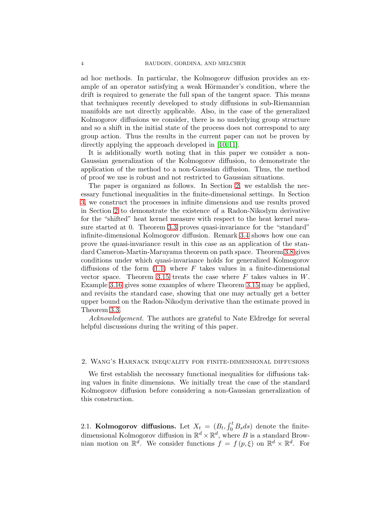ad hoc methods. In particular, the Kolmogorov diffusion provides an example of an operator satisfying a weak Hörmander's condition, where the drift is required to generate the full span of the tangent space. This means that techniques recently developed to study diffusions in sub-Riemannian manifolds are not directly applicable. Also, in the case of the generalized Kolmogorov diffusions we consider, there is no underlying group structure and so a shift in the initial state of the process does not correspond to any group action. Thus the results in the current paper can not be proven by directly applying the approach developed in [\[10,](#page-26-1) [11\]](#page-26-2).

It is additionally worth noting that in this paper we consider a non-Gaussian generalization of the Kolmogorov diffusion, to demonstrate the application of the method to a non-Gaussian diffusion. Thus, the method of proof we use is robust and not restricted to Gaussian situations.

The paper is organized as follows. In Section [2,](#page-3-0) we establish the necessary functional inequalities in the finite-dimensional settings. In Section [3,](#page-13-0) we construct the processes in infinite dimensions and use results proved in Section [2](#page-3-0) to demonstrate the existence of a Radon-Nikodym derivative for the "shifted" heat kernel measure with respect to the heat kernel measure started at 0. Theorem [3.3](#page-16-0) proves quasi-invariance for the "standard" infinite-dimensional Kolmogorov diffusion. Remark [3.4](#page-16-1) shows how one can prove the quasi-invariance result in this case as an application of the standard Cameron-Martin-Maruyama theorem on path space. Theorem [3.8](#page-19-0) gives conditions under which quasi-invariance holds for generalized Kolmogorov diffusions of the form  $(1.1)$  where F takes values in a finite-dimensional vector space. Theorem [3.15](#page-24-0) treats the case where  $F$  takes values in  $W$ . Example [3.16](#page-25-2) gives some examples of where Theorem [3.15](#page-24-0) may be applied, and revisits the standard case, showing that one may actually get a better upper bound on the Radon-Nikodym derivative than the estimate proved in Theorem [3.3.](#page-16-0)

Acknowledgement. The authors are grateful to Nate Eldredge for several helpful discussions during the writing of this paper.

## <span id="page-3-0"></span>2. Wang's Harnack inequality for finite-dimensional diffusions

We first establish the necessary functional inequalities for diffusions taking values in finite dimensions. We initially treat the case of the standard Kolmogorov diffusion before considering a non-Gaussian generalization of this construction.

<span id="page-3-1"></span>2.1. Kolmogorov diffusions. Let  $X_t = (B_t, \int_0^t B_s ds)$  denote the finitedimensional Kolmogorov diffusion in  $\mathbb{R}^d \times \mathbb{R}^d$ , where B is a standard Brownian motion on  $\mathbb{R}^d$ . We consider functions  $f = f(p,\xi)$  on  $\mathbb{R}^d \times \mathbb{R}^d$ . For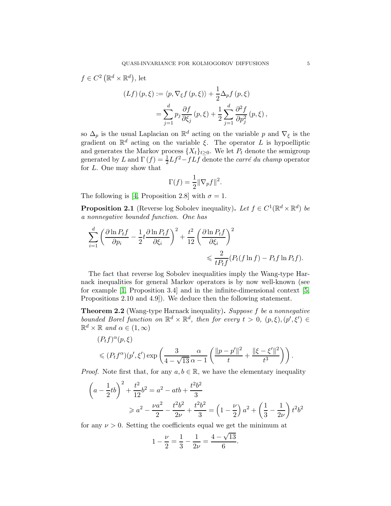$$
C^{2} (\mathbb{R}^{d} \times \mathbb{R}^{d}), \text{ let}
$$
  
\n
$$
(Lf) (p, \xi) := \langle p, \nabla_{\xi} f (p, \xi) \rangle + \frac{1}{2} \Delta_{p} f (p, \xi)
$$
  
\n
$$
= \sum_{j=1}^{d} p_{j} \frac{\partial f}{\partial \xi_{j}} (p, \xi) + \frac{1}{2} \sum_{j=1}^{d} \frac{\partial^{2} f}{\partial p_{j}^{2}} (p, \xi),
$$

so  $\Delta_p$  is the usual Laplacian on  $\mathbb{R}^d$  acting on the variable p and  $\nabla_\xi$  is the gradient on  $\mathbb{R}^d$  acting on the variable  $\xi$ . The operator L is hypoelliptic and generates the Markov process  $\{X_t\}_{t>0}$ . We let  $P_t$  denote the semigroup generated by L and  $\Gamma(f) = \frac{1}{2}Lf^2 - fLf$  denote the *carré du champ* operator for L. One may show that

$$
\Gamma(f) = \frac{1}{2} \|\nabla_p f\|^2.
$$

The following is [\[4,](#page-26-5) Proposition 2.8] with  $\sigma = 1$ .

 $f \in$ 

<span id="page-4-0"></span>**Proposition 2.1** (Reverse log Sobolev inequality). Let  $f \in C^1(\mathbb{R}^d \times \mathbb{R}^d)$  be a nonnegative bounded function. One has

$$
\sum_{i=1}^{d} \left( \frac{\partial \ln P_t f}{\partial p_i} - \frac{1}{2} t \frac{\partial \ln P_t f}{\partial \xi_i} \right)^2 + \frac{t^2}{12} \left( \frac{\partial \ln P_t f}{\partial \xi_i} \right)^2
$$
  
\$\leqslant \frac{2}{tP\_t f}(P\_t(f \ln f) - P\_t f \ln P\_t f).

The fact that reverse log Sobolev inequalities imply the Wang-type Harnack inequalities for general Markov operators is by now well-known (see for example [\[1,](#page-25-3) Proposition 3.4] and in the infinite-dimensional context [\[5,](#page-26-0) Propositions 2.10 and 4.9]). We deduce then the following statement.

<span id="page-4-1"></span>Theorem 2.2 (Wang-type Harnack inequality). Suppose f be a nonnegative bounded Borel function on  $\mathbb{R}^d \times \mathbb{R}^d$ , then for every  $t > 0$ ,  $(p, \xi)$ ,  $(p', \xi') \in$  $\mathbb{R}^d \times \mathbb{R}$  and  $\alpha \in (1, \infty)$ 

$$
(P_t f)^\alpha(p,\xi)
$$
  
\$\leqslant (P\_t f^\alpha)(p',\xi')\exp\left(\frac{3}{4-\sqrt{13}}\frac{\alpha}{\alpha-1}\left(\frac{\|p-p'\|^2}{t}+\frac{\|\xi-\xi'\|^2}{t^3}\right)\right).

*Proof.* Note first that, for any  $a, b \in \mathbb{R}$ , we have the elementary inequality

$$
\left(a - \frac{1}{2}tb\right)^2 + \frac{t^2}{12}b^2 = a^2 - atb + \frac{t^2b^2}{3}
$$
  
\n
$$
\geq a^2 - \frac{\nu a^2}{2} - \frac{t^2b^2}{2\nu} + \frac{t^2b^2}{3} = \left(1 - \frac{\nu}{2}\right)a^2 + \left(\frac{1}{3} - \frac{1}{2\nu}\right)t^2b^2
$$

for any  $\nu > 0$ . Setting the coefficients equal we get the minimum at

$$
1 - \frac{\nu}{2} = \frac{1}{3} - \frac{1}{2\nu} = \frac{4 - \sqrt{13}}{6}.
$$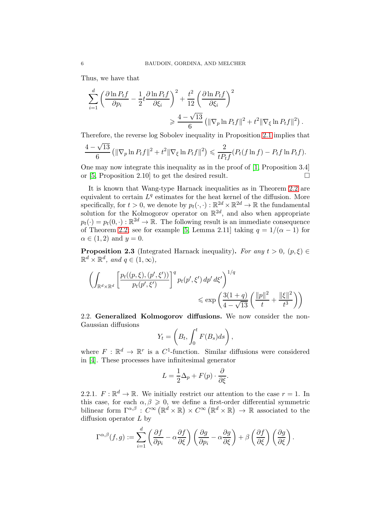Thus, we have that

$$
\sum_{i=1}^{d} \left( \frac{\partial \ln P_t f}{\partial p_i} - \frac{1}{2} t \frac{\partial \ln P_t f}{\partial \xi_i} \right)^2 + \frac{t^2}{12} \left( \frac{\partial \ln P_t f}{\partial \xi_i} \right)^2
$$
  

$$
\geq \frac{4 - \sqrt{13}}{6} \left( \|\nabla_p \ln P_t f\|^2 + t^2 \|\nabla_\xi \ln P_t f\|^2 \right).
$$

Therefore, the reverse log Sobolev inequality in Proposition [2.1](#page-4-0) implies that

$$
\frac{4-\sqrt{13}}{6} \left( \|\nabla_p \ln P_t f\|^2 + t^2 \|\nabla_\xi \ln P_t f\|^2 \right) \leq \frac{2}{t P_t f} (P_t (f \ln f) - P_t f \ln P_t f).
$$

One may now integrate this inequality as in the proof of [\[1,](#page-25-3) Proposition 3.4] or [\[5,](#page-26-0) Proposition 2.10] to get the desired result.  $\Box$ 

It is known that Wang-type Harnack inequalities as in Theorem [2.2](#page-4-1) are equivalent to certain  $L^q$  estimates for the heat kernel of the diffusion. More specifically, for  $t > 0$ , we denote by  $p_t(\cdot, \cdot) : \mathbb{R}^{2d} \times \mathbb{R}^{2d} \to \mathbb{R}$  the fundamental solution for the Kolmogorov operator on  $\mathbb{R}^{2d}$ , and also when appropriate  $p_t(\cdot) = p_t(0, \cdot) : \mathbb{R}^{2d} \to \mathbb{R}$ . The following result is an immediate consequence of Theorem [2.2;](#page-4-1) see for example [\[5,](#page-26-0) Lemma 2.11] taking  $q = 1/(\alpha - 1)$  for  $\alpha \in (1,2)$  and  $y=0$ .

<span id="page-5-1"></span>**Proposition 2.3** (Integrated Harnack inequality). For any  $t > 0$ ,  $(p, \xi) \in$  $\mathbb{R}^d \times \mathbb{R}^d$ , and  $q \in (1, \infty)$ ,

$$
\left(\int_{\mathbb{R}^d \times \mathbb{R}^d} \left[\frac{p_t((p,\xi),(p',\xi'))}{p_t(p',\xi')}\right]^q p_t(p',\xi') dp' d\xi'\right)^{1/q} \le \exp\left(\frac{3(1+q)}{4-\sqrt{13}}\left(\frac{\|p\|^2}{t} + \frac{\|\xi\|^2}{t^3}\right)\right)
$$

<span id="page-5-0"></span>2.2. Generalized Kolmogorov diffusions. We now consider the non-Gaussian diffusions

$$
Y_t = \left(B_t, \int_0^t F(B_s)ds\right),\,
$$

where  $F : \mathbb{R}^d \to \mathbb{R}^r$  is a  $C^1$ -function. Similar diffusions were considered in [\[4\]](#page-26-5). These processes have infinitesimal generator

$$
L = \frac{1}{2}\Delta_p + F(p) \cdot \frac{\partial}{\partial \xi}.
$$

2.2.1.  $F: \mathbb{R}^d \to \mathbb{R}$ . We initially restrict our attention to the case  $r = 1$ . In this case, for each  $\alpha, \beta \geq 0$ , we define a first-order differential symmetric bilinear form  $\Gamma^{\alpha,\beta}$  :  $C^{\infty}(\mathbb{R}^d \times \mathbb{R}) \times C^{\infty}(\mathbb{R}^d \times \mathbb{R}) \to \mathbb{R}$  associated to the diffusion operator  $L$  by

$$
\Gamma^{\alpha,\beta}(f,g) := \sum_{i=1}^d \left( \frac{\partial f}{\partial p_i} - \alpha \frac{\partial f}{\partial \xi} \right) \left( \frac{\partial g}{\partial p_i} - \alpha \frac{\partial g}{\partial \xi} \right) + \beta \left( \frac{\partial f}{\partial \xi} \right) \left( \frac{\partial g}{\partial \xi} \right).
$$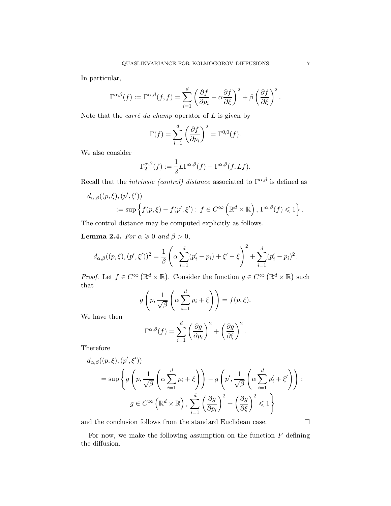In particular,

$$
\Gamma^{\alpha,\beta}(f) := \Gamma^{\alpha,\beta}(f,f) = \sum_{i=1}^d \left(\frac{\partial f}{\partial p_i} - \alpha \frac{\partial f}{\partial \xi}\right)^2 + \beta \left(\frac{\partial f}{\partial \xi}\right)^2.
$$

Note that the *carré du champ* operator of  $L$  is given by

$$
\Gamma(f) = \sum_{i=1}^{d} \left(\frac{\partial f}{\partial p_i}\right)^2 = \Gamma^{0,0}(f).
$$

We also consider

$$
\Gamma_2^{\alpha,\beta}(f) := \frac{1}{2} L \Gamma^{\alpha,\beta}(f) - \Gamma^{\alpha,\beta}(f, Lf).
$$

Recall that the *intrinsic (control)* distance associated to  $\Gamma^{\alpha,\beta}$  is defined as

$$
d_{\alpha,\beta}((p,\xi),(p',\xi'))
$$
  
 := sup  $\{f(p,\xi) - f(p',\xi') : f \in C^{\infty}(\mathbb{R}^d \times \mathbb{R}), \Gamma^{\alpha,\beta}(f) \leq 1\}$ 

The control distance may be computed explicitly as follows.

<span id="page-6-0"></span>**Lemma 2.4.** For  $\alpha \geq 0$  and  $\beta > 0$ ,

$$
d_{\alpha,\beta}((p,\xi),(p',\xi'))^2 = \frac{1}{\beta} \left( \alpha \sum_{i=1}^d (p'_i - p_i) + \xi' - \xi \right)^2 + \sum_{i=1}^d (p'_i - p_i)^2.
$$

*Proof.* Let  $f \in C^{\infty}(\mathbb{R}^d \times \mathbb{R})$ . Consider the function  $g \in C^{\infty}(\mathbb{R}^d \times \mathbb{R})$  such that

$$
g\left(p, \frac{1}{\sqrt{\beta}}\left(\alpha \sum_{i=1}^d p_i + \xi\right)\right) = f(p, \xi).
$$

We have then

$$
\Gamma^{\alpha,\beta}(f) = \sum_{i=1}^d \left(\frac{\partial g}{\partial p_i}\right)^2 + \left(\frac{\partial g}{\partial \xi}\right)^2.
$$

Therefore

$$
d_{\alpha,\beta}((p,\xi),(p',\xi'))
$$
  
=  $\sup \left\{ g\left(p, \frac{1}{\sqrt{\beta}} \left(\alpha \sum_{i=1}^d p_i + \xi\right) \right) - g\left(p', \frac{1}{\sqrt{\beta}} \left(\alpha \sum_{i=1}^d p'_i + \xi'\right)\right) : g \in C^{\infty}\left(\mathbb{R}^d \times \mathbb{R}\right), \sum_{i=1}^d \left(\frac{\partial g}{\partial p_i}\right)^2 + \left(\frac{\partial g}{\partial \xi}\right)^2 \leq 1 \right\}$ 

and the conclusion follows from the standard Euclidean case.  $\hfill \Box$ 

For now, we make the following assumption on the function  $F$  defining the diffusion.

.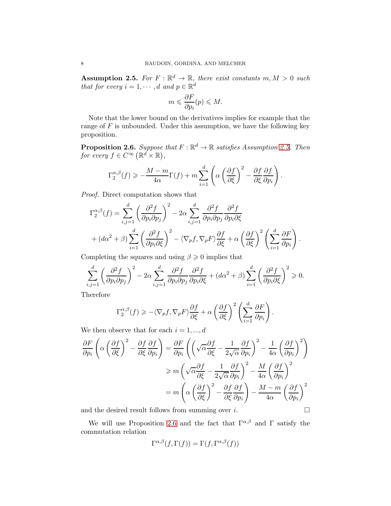<span id="page-7-0"></span>Assumption 2.5. For  $F: \mathbb{R}^d \to \mathbb{R}$ , there exist constants  $m, M > 0$  such that for every  $i = 1, \dots, d$  and  $p \in \mathbb{R}^d$ 

$$
m \leqslant \frac{\partial F}{\partial p_i}(p) \leqslant M.
$$

Note that the lower bound on the derivatives implies for example that the range of  $F$  is unbounded. Under this assumption, we have the following key proposition.

<span id="page-7-1"></span>**Proposition 2.6.** Suppose that  $F : \mathbb{R}^d \to \mathbb{R}$  satisfies Assumption [2.5.](#page-7-0) Then for every  $f \in C^{\infty}(\mathbb{R}^d \times \mathbb{R}),$ 

$$
\Gamma_2^{\alpha,\beta}(f) \geq -\frac{M-m}{4\alpha} \Gamma(f) + m \sum_{i=1}^d \left( \alpha \left( \frac{\partial f}{\partial \xi} \right)^2 - \frac{\partial f}{\partial \xi} \frac{\partial f}{\partial p_i} \right).
$$

Proof. Direct computation shows that

$$
\Gamma_2^{\alpha,\beta}(f) = \sum_{i,j=1}^d \left(\frac{\partial^2 f}{\partial p_i \partial p_j}\right)^2 - 2\alpha \sum_{i,j=1}^d \frac{\partial^2 f}{\partial p_i \partial p_j} \frac{\partial^2 f}{\partial p_i \partial \xi} + (d\alpha^2 + \beta) \sum_{i=1}^d \left(\frac{\partial^2 f}{\partial p_i \partial \xi}\right)^2 - \langle \nabla_p f, \nabla_p F \rangle \frac{\partial f}{\partial \xi} + \alpha \left(\frac{\partial f}{\partial \xi}\right)^2 \left(\sum_{i=1}^d \frac{\partial F}{\partial p_i}\right).
$$

Completing the squares and using  $\beta \geq 0$  implies that

$$
\sum_{i,j=1}^d \left(\frac{\partial^2 f}{\partial p_i \partial p_j}\right)^2 - 2\alpha \sum_{i,j=1}^d \frac{\partial^2 f}{\partial p_i \partial p_j}\frac{\partial^2 f}{\partial p_i \partial \xi} + (d\alpha^2 + \beta) \sum_{i=1}^d \left(\frac{\partial^2 f}{\partial p_i \partial \xi}\right)^2 \ge 0.
$$

Therefore

$$
\Gamma_2^{\alpha,\beta}(f) \geqslant -\langle \nabla_p f, \nabla_p F \rangle \frac{\partial f}{\partial \xi} + \alpha \left( \frac{\partial f}{\partial \xi} \right)^2 \left( \sum_{i=1}^d \frac{\partial F}{\partial p_i} \right).
$$

We then observe that for each  $i = 1, ..., d$ 

$$
\frac{\partial F}{\partial p_i} \left( \alpha \left( \frac{\partial f}{\partial \xi} \right)^2 - \frac{\partial f}{\partial \xi} \frac{\partial f}{\partial p_i} \right) = \frac{\partial F}{\partial p_i} \left( \left( \sqrt{\alpha} \frac{\partial f}{\partial \xi} - \frac{1}{2\sqrt{\alpha}} \frac{\partial f}{\partial p_i} \right)^2 - \frac{1}{4\alpha} \left( \frac{\partial f}{\partial p_i} \right)^2 \right)
$$
  
\n
$$
\geq m \left( \sqrt{\alpha} \frac{\partial f}{\partial \xi} - \frac{1}{2\sqrt{\alpha}} \frac{\partial f}{\partial p_i} \right)^2 - \frac{M}{4\alpha} \left( \frac{\partial f}{\partial p_i} \right)^2
$$
  
\n
$$
= m \left( \alpha \left( \frac{\partial f}{\partial \xi} \right)^2 - \frac{\partial f}{\partial \xi} \frac{\partial f}{\partial p_i} \right) - \frac{M - m}{4\alpha} \left( \frac{\partial f}{\partial p_i} \right)^2
$$

and the desired result follows from summing over  $i$ .

We will use Proposition [2.6](#page-7-1) and the fact that  $\Gamma^{\alpha,\beta}$  and  $\Gamma$  satisfy the commutation relation

$$
\Gamma^{\alpha,\beta}(f,\Gamma(f)) = \Gamma(f,\Gamma^{\alpha,\beta}(f))
$$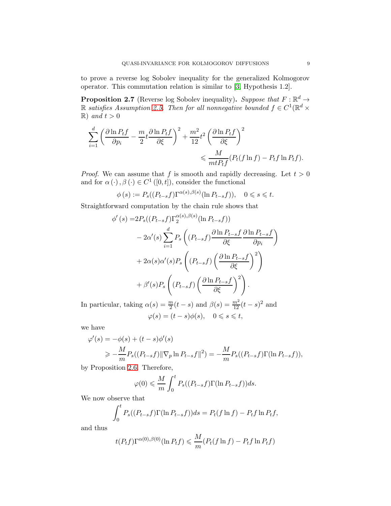to prove a reverse log Sobolev inequality for the generalized Kolmogorov operator. This commutation relation is similar to [\[3,](#page-26-8) Hypothesis 1.2].

<span id="page-8-0"></span>**Proposition 2.7** (Reverse log Sobolev inequality). Suppose that  $F : \mathbb{R}^d \to$  $\mathbb R$  satisfies Assumption [2.5.](#page-7-0) Then for all nonnegative bounded  $f \in C^1(\mathbb R^d \times$  $\mathbb{R}$ ) and  $t > 0$ 

$$
\sum_{i=1}^{d} \left( \frac{\partial \ln P_t f}{\partial p_i} - \frac{m}{2} t \frac{\partial \ln P_t f}{\partial \xi} \right)^2 + \frac{m^2}{12} t^2 \left( \frac{\partial \ln P_t f}{\partial \xi} \right)^2
$$
  
\$\leqslant \frac{M}{m t P\_t f} (P\_t(f \ln f) - P\_t f \ln P\_t f).

*Proof.* We can assume that f is smooth and rapidly decreasing. Let  $t > 0$ and for  $\alpha(\cdot), \beta(\cdot) \in C^1([0, t]),$  consider the functional

$$
\phi(s) := P_s((P_{t-s}f)\Gamma^{\alpha(s),\beta(s)}(\ln P_{t-s}f)), \quad 0 \le s \le t.
$$

Straightforward computation by the chain rule shows that

$$
\phi'(s) = 2P_s((P_{t-s}f)\Gamma_2^{\alpha(s),\beta(s)}(\ln P_{t-s}f))
$$
  

$$
-2\alpha'(s)\sum_{i=1}^d P_s((P_{t-s}f)\frac{\partial \ln P_{t-s}f}{\partial \xi}\frac{\partial \ln P_{t-s}f}{\partial p_i})
$$
  

$$
+2\alpha(s)\alpha'(s)P_s((P_{t-s}f)(\frac{\partial \ln P_{t-s}f}{\partial \xi})^2)
$$
  

$$
+\beta'(s)P_s((P_{t-s}f)(\frac{\partial \ln P_{t-s}f}{\partial \xi})^2).
$$

In particular, taking  $\alpha(s) = \frac{m}{2}(t-s)$  and  $\beta(s) = \frac{m^2}{12}(t-s)^2$  and  $\varphi(s) = (t - s)\phi(s), \quad 0 \leqslant s \leqslant t,$ 

we have

$$
\varphi'(s) = -\phi(s) + (t - s)\phi'(s)
$$
  
\n
$$
\geq -\frac{M}{m}P_s((P_{t-s}f)||\nabla_p \ln P_{t-s}f||^2) = -\frac{M}{m}P_s((P_{t-s}f)\Gamma(\ln P_{t-s}f)),
$$

by Proposition [2.6.](#page-7-1) Therefore,

$$
\varphi(0) \leqslant \frac{M}{m} \int_0^t P_s((P_{t-s}f)\Gamma(\ln P_{t-s}f))ds.
$$

We now observe that

$$
\int_0^t P_s((P_{t-s}f)\Gamma(\ln P_{t-s}f))ds = P_t(f\ln f) - P_tf\ln P_tf,
$$

and thus

$$
t(P_t f) \Gamma^{\alpha(0),\beta(0)}(\ln P_t f) \leqslant \frac{M}{m} (P_t (f \ln f) - P_t f \ln P_t f)
$$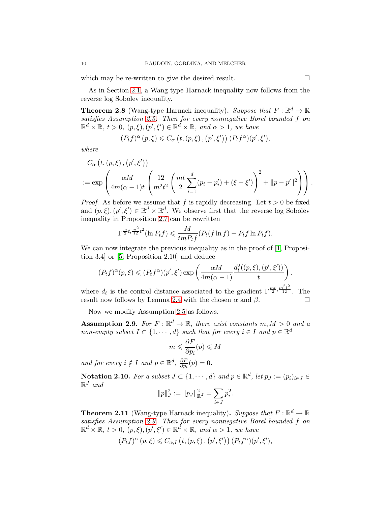which may be re-written to give the desired result.  $\Box$ 

As in Section [2.1,](#page-3-1) a Wang-type Harnack inequality now follows from the reverse log Sobolev inequality.

<span id="page-9-1"></span>**Theorem 2.8** (Wang-type Harnack inequality). Suppose that  $F : \mathbb{R}^d \to \mathbb{R}$ satisfies Assumption [2.5.](#page-7-0) Then for every nonnegative Borel bounded f on  $\mathbb{R}^d \times \mathbb{R}, t > 0, (p, \xi), (p', \xi') \in \mathbb{R}^d \times \mathbb{R}, \text{ and } \alpha > 1, \text{ we have}$ 

$$
(P_t f)^\alpha (p, \xi) \leq C_\alpha \left( t, (p, \xi), (p', \xi') \right) (P_t f^\alpha)(p', \xi'),
$$

where

$$
C_{\alpha}\left(t, (p, \xi), (p', \xi')\right)
$$
  
:= 
$$
\exp\left(\frac{\alpha M}{4m(\alpha - 1)t} \left(\frac{12}{m^2 t^2} \left(\frac{mt}{2} \sum_{i=1}^d (p_i - p'_i) + (\xi - \xi')\right)^2 + ||p - p'||^2\right)\right).
$$

*Proof.* As before we assume that f is rapidly decreasing. Let  $t > 0$  be fixed and  $(p,\xi), (p',\xi') \in \mathbb{R}^d \times \mathbb{R}^d$ . We observe first that the reverse log Sobolev inequality in Proposition [2.7](#page-8-0) can be rewritten

$$
\Gamma^{\frac{m}{2}t,\frac{m^2}{12}t^2}(\ln P_t f) \leqslant \frac{M}{tmP_tf}(P_t(f\ln f) - P_tf\ln P_tf).
$$

We can now integrate the previous inequality as in the proof of [\[1,](#page-25-3) Proposition 3.4] or [\[5,](#page-26-0) Proposition 2.10] and deduce

$$
(P_t f)^{\alpha}(p,\xi) \leqslant (P_t f^{\alpha})(p',\xi') \exp\left(\frac{\alpha M}{4m(\alpha-1)}\frac{d_t^2((p,\xi),(p',\xi'))}{t}\right).
$$

where  $d_t$  is the control distance associated to the gradient  $\Gamma^{\frac{mt}{2}, \frac{m^2t^2}{12}}$ . The result now follows by Lemma [2.4](#page-6-0) with the chosen  $\alpha$  and  $\beta$ .

Now we modify Assumption [2.5](#page-7-0) as follows.

<span id="page-9-0"></span>**Assumption 2.9.** For  $F : \mathbb{R}^d \to \mathbb{R}$ , there exist constants  $m, M > 0$  and a non-empty subset  $I \subset \{1, \dots, d\}$  such that for every  $i \in I$  and  $p \in \mathbb{R}^d$ 

$$
m \leqslant \frac{\partial F}{\partial p_i}(p) \leqslant M
$$

and for every  $i \notin I$  and  $p \in \mathbb{R}^d$ ,  $\frac{\partial F}{\partial p_i}$  $\frac{\partial F}{\partial p_i}(p)=0.$ 

Notation 2.10. For a subset  $J \subset \{1, \dots, d\}$  and  $p \in \mathbb{R}^d$ , let  $p_J := (p_i)_{i \in J} \in I$  $\mathbb{R}^J$  and

$$
||p||_J^2 := ||p_J||_{\mathbb{R}^J}^2 = \sum_{i \in J} p_i^2.
$$

<span id="page-9-2"></span>**Theorem 2.11** (Wang-type Harnack inequality). Suppose that  $F : \mathbb{R}^d \to \mathbb{R}$ satisfies Assumption [2.9.](#page-9-0) Then for every nonnegative Borel bounded f on  $\mathbb{R}^d \times \mathbb{R}, t > 0, (p, \xi), (p', \xi') \in \mathbb{R}^d \times \mathbb{R}, \text{ and } \alpha > 1, \text{ we have}$ 

$$
(P_t f)^\alpha (p, \xi) \leq C_{\alpha, I} (t, (p, \xi), (p', \xi')) (P_t f^\alpha)(p', \xi'),
$$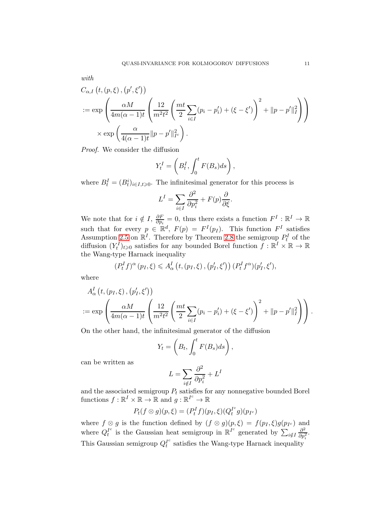with

$$
C_{\alpha,I} (t, (p, \xi), (p', \xi'))
$$
  

$$
:= \exp \left( \frac{\alpha M}{4m(\alpha - 1)t} \left( \frac{12}{m^2 t^2} \left( \frac{mt}{2} \sum_{i \in I} (p_i - p'_i) + (\xi - \xi') \right)^2 + ||p - p'||_I^2 \right) \right)
$$
  

$$
\times \exp \left( \frac{\alpha}{4(\alpha - 1)t} ||p - p'||_{I^c}^2 \right).
$$

Proof. We consider the diffusion

$$
Y_t^I = \left(B_t^I, \int_0^t F(B_s)ds\right),\,
$$

where  $B_t^I = (B_t^i)_{i \in I, t \geq 0}$ . The infinitesimal generator for this process is

$$
L^{I} = \sum_{i \in I} \frac{\partial^{2}}{\partial p_{i}^{2}} + F(p) \frac{\partial}{\partial \xi}.
$$

We note that for  $i \notin I$ ,  $\frac{\partial F}{\partial p_i}$  $\frac{\partial F}{\partial p_i} = 0$ , thus there exists a function  $F^I : \mathbb{R}^I \to \mathbb{R}$ such that for every  $p \in \mathbb{R}^d$ ,  $F(p) = F^I(p_I)$ . This function  $F^I$  satisfies Assumption [2.5](#page-7-0) on  $\mathbb{R}^I$ . Therefore by Theorem [2.8](#page-9-1) the semigroup  $P_t^I$  of the diffusion  $(Y_t^I)_{t\geqslant0}$  satisfies for any bounded Borel function  $f:\mathbb{R}^I\times\mathbb{R}\to\mathbb{R}$ the Wang-type Harnack inequality

$$
(P_t^I f)^\alpha (p_I, \xi) \leq A_\alpha^I \left( t, (p_I, \xi), (p_I', \xi') \right) (P_t^I f^\alpha)(p_I', \xi'),
$$

where

$$
A_{\alpha}^{I}\left(t, (p_{I}, \xi), (p'_{I}, \xi')\right)
$$
  
 := 
$$
\exp\left(\frac{\alpha M}{4m(\alpha - 1)t} \left(\frac{12}{m^{2}t^{2}} \left(\frac{mt}{2} \sum_{i \in I} (p_{i} - p'_{i}) + (\xi - \xi')\right)^{2} + ||p - p'||_{I}^{2}\right)\right).
$$

On the other hand, the infinitesimal generator of the diffusion

$$
Y_t = \left(B_t, \int_0^t F(B_s) ds\right),
$$

can be written as

$$
L = \sum_{i \notin I} \frac{\partial^2}{\partial p_i^2} + L^I
$$

and the associated semigroup  $P_t$  satisfies for any nonnegative bounded Borel functions  $f : \mathbb{R}^I \times \mathbb{R} \to \mathbb{R}$  and  $g : \mathbb{R}^{I^c} \to \mathbb{R}$ 

$$
P_t(f \otimes g)(p,\xi) = (P_t^I f)(p_I,\xi)(Q_t^{I^c} g)(p_{I^c})
$$

where  $f \otimes g$  is the function defined by  $(f \otimes g)(p, \xi) = f(p_I, \xi)g(p_{I^c})$  and where  $Q_t^{I^c}$  $I_t^c$  is the Gaussian heat semigroup in  $\mathbb{R}^{I^c}$  generated by  $\sum_{i \notin I} \frac{\partial^2}{\partial p_i^2}$  $\frac{\partial^2}{\partial p_i^2}$ . This Gaussian semigroup  $Q_t^{I^c}$  $t<sup>t</sup>$  satisfies the Wang-type Harnack inequality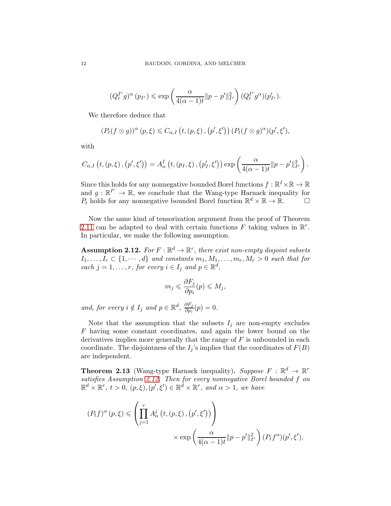$$
(Q_t^{I^c}g)^{\alpha}(p_{I^c}) \leq \exp\left(\frac{\alpha}{4(\alpha-1)t}||p-p'||_{I^c}^2\right)(Q_t^{I^c}g^{\alpha})(p'_{I^c}).
$$

We therefore deduce that

$$
(P_t(f\otimes g))^{\alpha}(p,\xi)\leq C_{\alpha,I}\left(t,(p,\xi),(p',\xi')\right)(P_t(f\otimes g)^{\alpha})(p',\xi'),
$$

with

$$
C_{\alpha,I}\left(t,(p,\xi),(p',\xi')\right)=A_{\alpha}^{I}\left(t,(p_{I},\xi),(p'_{I},\xi')\right)\exp\left(\frac{\alpha}{4(\alpha-1)t}\|p-p'\|_{I^{c}}^{2}\right).
$$

Since this holds for any nonnegative bounded Borel functions  $f: \mathbb{R}^I \times \mathbb{R} \to \mathbb{R}$ and  $g: \mathbb{R}^{\ell^c} \to \mathbb{R}$ , we conclude that the Wang-type Harnack inequality for  $P_t$  holds for any nonnegative bounded Borel function  $\mathbb{R}^d \times \mathbb{R} \to \mathbb{R}$ .

Now the same kind of tensorization argument from the proof of Theorem [2.11](#page-9-2) can be adapted to deal with certain functions  $F$  taking values in  $\mathbb{R}^r$ . In particular, we make the following assumption.

<span id="page-11-0"></span>**Assumption 2.12.** For  $F : \mathbb{R}^d \to \mathbb{R}^r$ , there exist non-empty disjoint subsets  $I_1, \ldots, I_r \subset \{1, \cdots, d\}$  and constants  $m_1, M_1, \ldots, m_r, M_r > 0$  such that for each  $j = 1, ..., r$ , for every  $i \in I_j$  and  $p \in \mathbb{R}^d$ ,

$$
m_j \leqslant \frac{\partial F_j}{\partial p_i}(p) \leqslant M_j,
$$

and, for every  $i \notin I_j$  and  $p \in \mathbb{R}^d$ ,  $\frac{\partial F_j}{\partial p_i}$  $\frac{\partial F_j}{\partial p_i}(p) = 0.$ 

Note that the assumption that the subsets  $I_j$  are non-empty excludes F having some constant coordinates, and again the lower bound on the derivatives implies more generally that the range of  $F$  is unbounded in each coordinate. The disjointness of the  $I_j$ 's implies that the coordinates of  $F(B)$ are independent.

**Theorem 2.13** (Wang-type Harnack inequality). Suppose  $F : \mathbb{R}^d \to \mathbb{R}^r$ satisfies Assumption [2.12.](#page-11-0) Then for every nonnegative Borel bounded f on  $\mathbb{R}^d \times \mathbb{R}^r$ ,  $t > 0$ ,  $(p, \xi)$ ,  $(p', \xi') \in \mathbb{R}^d \times \mathbb{R}^r$ , and  $\alpha > 1$ , we have

$$
(P_t f)^{\alpha}(p,\xi) \leq \left(\prod_{j=1}^r A^j_{\alpha}(t,(p,\xi),(p',\xi'))\right)
$$

$$
\times \exp\left(\frac{\alpha}{4(\alpha-1)t}||p-p'||_{I^c}^2\right)(P_t f^{\alpha})(p',\xi'),
$$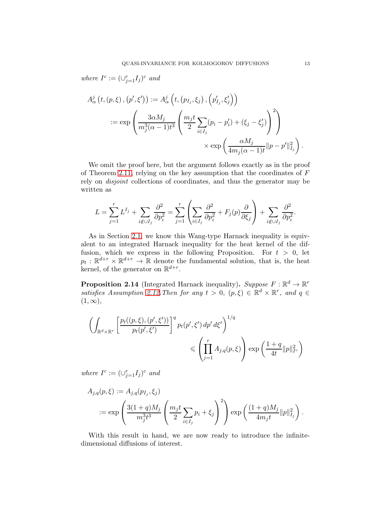where  $I^c := (\cup_{j=1}^r I_j)^c$  and

$$
A_{\alpha}^{j}\left(t, (p, \xi), (p', \xi')\right) := A_{\alpha}^{j}\left(t, (p_{I_j}, \xi_j), (p'_{I_j}, \xi'_j)\right)
$$
  

$$
:= \exp\left(\frac{3\alpha M_j}{m_j^3(\alpha - 1)t^3} \left(\frac{m_j t}{2} \sum_{i \in I_j} (p_i - p'_i) + (\xi_j - \xi'_j)\right)^2\right)
$$

$$
\times \exp\left(\frac{\alpha M_j}{4m_j(\alpha - 1)t} ||p - p'||_{I_j}^2\right).
$$

We omit the proof here, but the argument follows exactly as in the proof of Theorem [2.11,](#page-9-2) relying on the key assumption that the coordinates of  $F$ rely on disjoint collections of coordinates, and thus the generator may be written as

$$
L = \sum_{j=1}^r L^{I_j} + \sum_{i \notin \cup I_j} \frac{\partial^2}{\partial p_i^2} = \sum_{j=1}^r \left( \sum_{i \in I_j} \frac{\partial^2}{\partial p_i^2} + F_j(p) \frac{\partial}{\partial \xi_j} \right) + \sum_{i \notin \cup I_j} \frac{\partial^2}{\partial p_i^2}.
$$

As in Section [2.1,](#page-3-1) we know this Wang-type Harnack inequality is equivalent to an integrated Harnack inequality for the heat kernel of the diffusion, which we express in the following Proposition. For  $t > 0$ , let  $p_t : \mathbb{R}^{d+r} \times \mathbb{R}^{d+r} \to \mathbb{R}$  denote the fundamental solution, that is, the heat kernel, of the generator on  $\mathbb{R}^{d+r}$ .

<span id="page-12-0"></span>**Proposition 2.14** (Integrated Harnack inequality). Suppose  $F : \mathbb{R}^d \to \mathbb{R}^r$ satisfies Assumption [2.12.](#page-11-0) Then for any  $t > 0$ ,  $(p, \xi) \in \mathbb{R}^d \times \mathbb{R}^r$ , and  $q \in$  $(1,\infty),$ 

$$
\left(\int_{\mathbb{R}^d \times \mathbb{R}^r} \left[\frac{p_t((p,\xi),(p',\xi'))}{p_t(p',\xi')}\right]^q p_t(p',\xi') dp' d\xi'\right)^{1/q} \leq \left(\prod_{j=1}^r A_{j,q}(p,\xi)\right) \exp\left(\frac{1+q}{4t} ||p||_{I^c}^2\right)
$$

where  $I^c := (\cup_{j=1}^r I_j)^c$  and

$$
A_{j,q}(p,\xi) := A_{j,q}(p_{I_j}, \xi_j)
$$
  
 :=  $\exp\left(\frac{3(1+q)M_j}{m_j^3 t^3} \left(\frac{m_j t}{2} \sum_{i \in I_j} p_i + \xi_j\right)^2\right) \exp\left(\frac{(1+q)M_j}{4m_j t} ||p||_{I_j}^2\right).$ 

With this result in hand, we are now ready to introduce the infinitedimensional diffusions of interest.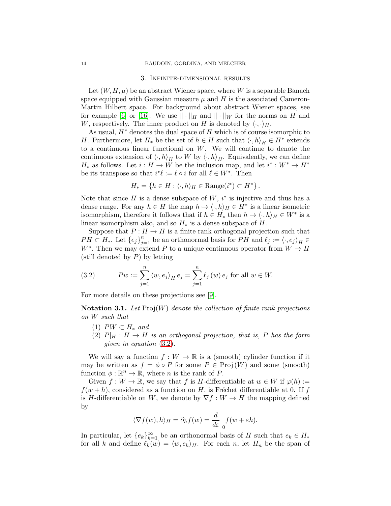#### 3. Infinite-dimensional results

<span id="page-13-0"></span>Let  $(W, H, \mu)$  be an abstract Wiener space, where W is a separable Banach space equipped with Gaussian measure  $\mu$  and  $H$  is the associated Cameron-Martin Hilbert space. For background about abstract Wiener spaces, see for example [\[6\]](#page-26-9) or [\[16\]](#page-26-10). We use  $\|\cdot\|_H$  and  $\|\cdot\|_W$  for the norms on H and W, respectively. The inner product on H is denoted by  $\langle \cdot, \cdot \rangle_H$ .

As usual,  $H^*$  denotes the dual space of H which is of course isomorphic to H. Furthermore, let  $H_*$  be the set of  $h \in H$  such that  $\langle \cdot, h \rangle_H \in H^*$  extends to a continuous linear functional on  $W$ . We will continue to denote the continuous extension of  $\langle \cdot, h \rangle_H$  to W by  $\langle \cdot, h \rangle_H$ . Equivalently, we can define  $H_*$  as follows. Let  $i: H \to W$  be the inclusion map, and let  $i^*: W^* \to H^*$ be its transpose so that  $i^*\ell := \ell \circ i$  for all  $\ell \in W^*$ . Then

$$
H_* = \{ h \in H : \langle \cdot, h \rangle_H \in \text{Range}(i^*) \subset H^* \}.
$$

Note that since  $H$  is a dense subspace of  $W$ ,  $i^*$  is injective and thus has a dense range. For any  $h \in H$  the map  $h \mapsto \langle \cdot, h \rangle_H \in H^*$  is a linear isometric isomorphism, therefore it follows that if  $h \in H_*$  then  $h \mapsto \langle \cdot, h \rangle_H \in W^*$  is a linear isomorphism also, and so  $H_*$  is a dense subspace of H.

Suppose that  $P : H \to H$  is a finite rank orthogonal projection such that  $PH \subset H_*$ . Let  $\{e_j\}_{j=1}^n$  be an orthonormal basis for  $PH$  and  $\ell_j := \langle \cdot, e_j \rangle_H \in$ W<sup>\*</sup>. Then we may extend P to a unique continuous operator from  $W \to H$ (still denoted by  $P$ ) by letting

<span id="page-13-1"></span>(3.2) 
$$
Pw := \sum_{j=1}^{n} \langle w, e_j \rangle_H e_j = \sum_{j=1}^{n} \ell_j(w) e_j \text{ for all } w \in W.
$$

For more details on these projections see [\[9\]](#page-26-6).

**Notation 3.1.** Let  $Proj(W)$  denote the collection of finite rank projections on W such that

- (1)  $PW \subset H_*$  and
- (2)  $P|_H : H \to H$  is an orthogonal projection, that is, P has the form given in equation [\(3.2\)](#page-13-1).

We will say a function  $f: W \to \mathbb{R}$  is a (smooth) cylinder function if it may be written as  $f = \phi \circ P$  for some  $P \in \text{Proj}(W)$  and some (smooth) function  $\phi : \mathbb{R}^n \to \mathbb{R}$ , where *n* is the rank of *P*.

Given  $f: W \to \mathbb{R}$ , we say that f is H-differentiable at  $w \in W$  if  $\varphi(h) :=$  $f(w+h)$ , considered as a function on H, is Fréchet differentiable at 0. If f is H-differentiable on W, we denote by  $\nabla f : W \to H$  the mapping defined by

$$
\langle \nabla f(w), h \rangle_H = \partial_h f(w) = \frac{d}{d\varepsilon} \bigg|_0 f(w + \varepsilon h).
$$

In particular, let  $\{e_k\}_{k=1}^{\infty}$  be an orthonormal basis of H such that  $e_k \in H_*$ for all k and define  $\ell_k(w) = \langle w, e_k \rangle_H$ . For each n, let  $H_n$  be the span of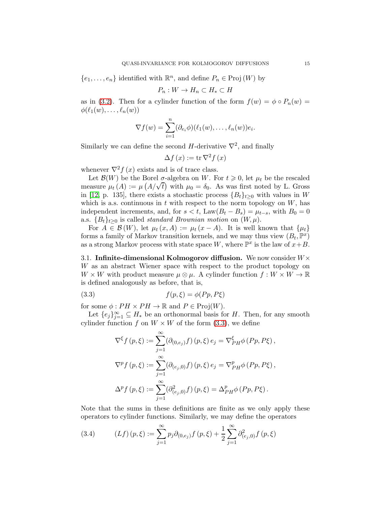$\{e_1, \ldots, e_n\}$  identified with  $\mathbb{R}^n$ , and define  $P_n \in \text{Proj}(W)$  by

$$
P_n: W \to H_n \subset H_* \subset H
$$

as in [\(3.2\)](#page-13-1). Then for a cylinder function of the form  $f(w) = \phi \circ P_n(w) =$  $\phi(\ell_1(w), \ldots, \ell_n(w))$ 

$$
\nabla f(w) = \sum_{i=1}^n (\partial_{e_i} \phi)(\ell_1(w), \dots, \ell_n(w))e_i.
$$

Similarly we can define the second  $H$ -derivative  $\nabla^2$ , and finally

$$
\Delta f\left(x\right) := \operatorname{tr} \nabla^2 f\left(x\right)
$$

whenever  $\nabla^2 f(x)$  exists and is of trace class.

Let  $\mathcal{B}(W)$  be the Borel  $\sigma$ -algebra on W. For  $t \geq 0$ , let  $\mu_t$  be the rescaled measure  $\mu_t(A) := \mu(A/\sqrt{t})$  with  $\mu_0 = \delta_0$ . As was first noted by L. Gross in [\[12,](#page-26-11) p. 135], there exists a stochastic process  ${B_t}_{t\geq0}$  with values in W which is a.s. continuous in  $t$  with respect to the norm topology on  $W$ , has independent increments, and, for  $s < t$ , Law $(B_t - B_s) = \mu_{t-s}$ , with  $B_0 = 0$ a.s.  ${B_t}_{t>0}$  is called *standard Brownian motion* on  $(W, \mu)$ .

For  $A \in \mathcal{B}(W)$ , let  $\mu_t(x, A) := \mu_t(x - A)$ . It is well known that  $\{\mu_t\}$ forms a family of Markov transition kernels, and we may thus view  $(B_t, \mathbb{P}^x)$ as a strong Markov process with state space W, where  $\mathbb{P}^x$  is the law of  $x+B$ .

<span id="page-14-0"></span>3.1. Infinite-dimensional Kolmogorov diffusion. We now consider  $W\times$ W as an abstract Wiener space with respect to the product topology on  $W \times W$  with product measure  $\mu \otimes \mu$ . A cylinder function  $f: W \times W \to \mathbb{R}$ is defined analogously as before, that is,

$$
(3.3) \t f(p,\xi) = \phi(Pp,P\xi)
$$

for some  $\phi: PH \times PH \to \mathbb{R}$  and  $P \in \text{Proj}(W)$ .

Let  $\{e_j\}_{j=1}^{\infty} \subseteq H_*$  be an orthonormal basis for H. Then, for any smooth cylinder function f on  $W \times W$  of the form [\(3.3\)](#page-14-1), we define

<span id="page-14-1"></span>
$$
\nabla^{\xi} f(p,\xi) := \sum_{j=1}^{\infty} (\partial_{(0,e_j)} f)(p,\xi) e_j = \nabla^{\xi}_{PH} \phi (Pp, P\xi),
$$
  

$$
\nabla^p f(p,\xi) := \sum_{j=1}^{\infty} (\partial_{(e_j,0)} f)(p,\xi) e_j = \nabla^p_{PH} \phi (Pp, P\xi),
$$
  

$$
\Delta^p f(p,\xi) := \sum_{j=1}^{\infty} (\partial_{(e_j,0)}^2 f)(p,\xi) = \Delta^p_{PH} \phi (Pp, P\xi).
$$

Note that the sums in these definitions are finite as we only apply these operators to cylinder functions. Similarly, we may define the operators

<span id="page-14-2"></span>(3.4) 
$$
(Lf)(p,\xi) := \sum_{j=1}^{\infty} p_j \partial_{(0,e_j)} f(p,\xi) + \frac{1}{2} \sum_{j=1}^{\infty} \partial_{(e_j,0)}^2 f(p,\xi)
$$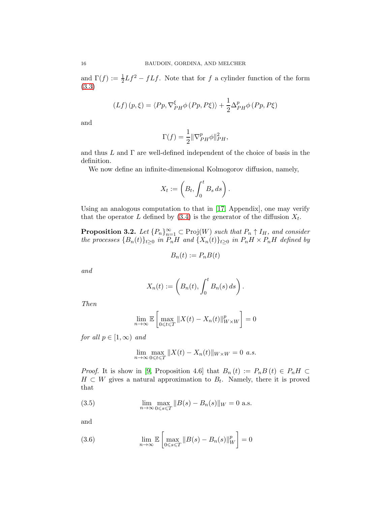and  $\Gamma(f) := \frac{1}{2}Lf^2 - fLf$ . Note that for f a cylinder function of the form [\(3.3\)](#page-14-1)

$$
(Lf)(p,\xi) = \langle Pp, \nabla_{PH}^{\xi} \phi (Pp, P\xi) \rangle + \frac{1}{2} \Delta_{PH}^{p} \phi (Pp, P\xi)
$$

and

$$
\Gamma(f) = \frac{1}{2} \|\nabla_{PH}^p \phi\|_{PH}^2,
$$

and thus  $L$  and  $\Gamma$  are well-defined independent of the choice of basis in the definition.

We now define an infinite-dimensional Kolmogorov diffusion, namely,

$$
X_t := \left(B_t, \int_0^t B_s \, ds\right).
$$

Using an analogous computation to that in [\[17,](#page-26-12) Appendix], one may verify that the operator L defined by  $(3.4)$  is the generator of the diffusion  $X_t$ .

<span id="page-15-0"></span>**Proposition 3.2.** Let  ${P_n}_{n=1}^{\infty} \subset \text{Proj}(W)$  such that  $P_n \uparrow I_H$ , and consider the processes  ${B_n(t)}_{t\geq0}$  in  $P_nH$  and  ${X_n(t)}_{t\geq0}$  in  $P_nH \times P_nH$  defined by

$$
B_n(t) := P_n B(t)
$$

and

$$
X_n(t) := \left(B_n(t), \int_0^t B_n(s) \, ds\right).
$$

Then

$$
\lim_{n \to \infty} \mathbb{E} \left[ \max_{0 \leq t \leq T} \| X(t) - X_n(t) \|_{W \times W}^p \right] = 0
$$

for all  $p \in [1,\infty)$  and

<span id="page-15-1"></span>
$$
\lim_{n \to \infty} \max_{0 \leq t \leq T} ||X(t) - X_n(t)||_{W \times W} = 0 \text{ a.s.}
$$

*Proof.* It is show in [\[9,](#page-26-6) Proposition 4.6] that  $B_n(t) := P_n B(t) \in P_n H$  $H \subset W$  gives a natural approximation to  $B_t$ . Namely, there it is proved that

(3.5) 
$$
\lim_{n \to \infty} \max_{0 \le s \le T} ||B(s) - B_n(s)||_W = 0 \text{ a.s.}
$$

and

(3.6) 
$$
\lim_{n \to \infty} \mathbb{E} \left[ \max_{0 \le s \le T} \| B(s) - B_n(s) \|_{W}^p \right] = 0
$$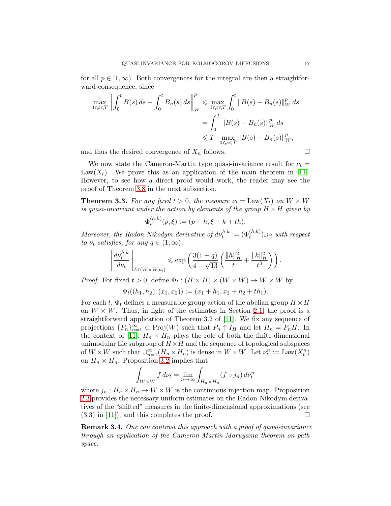for all  $p \in [1,\infty)$ . Both convergences for the integral are then a straightforward consequence, since

$$
\max_{0 \le t \le T} \left\| \int_0^t B(s) \, ds - \int_0^t B_n(s) \, ds \right\|_{W}^p \le \max_{0 \le t \le T} \int_0^t \|B(s) - B_n(s)\|_{W}^p \, ds
$$
\n
$$
= \int_0^T \|B(s) - B_n(s)\|_{W}^p \, ds
$$
\n
$$
\le T \cdot \max_{0 \le s \le T} \|B(s) - B_n(s)\|_{W}^p,
$$

and thus the desired convergence of  $X_n$  follows.

We now state the Cameron-Martin type quasi-invariance result for  $\nu_t =$ Law( $X_t$ ). We prove this as an application of the main theorem in [\[11\]](#page-26-2). However, to see how a direct proof would work, the reader may see the proof of Theorem [3.8](#page-19-0) in the next subsection.

<span id="page-16-0"></span>**Theorem 3.3.** For any fixed  $t > 0$ , the measure  $\nu_t = \text{Law}(X_t)$  on  $W \times W$ is quasi-invariant under the action by elements of the group  $H \times H$  given by

$$
\Phi_t^{(h,k)}(p,\xi) := (p+h,\xi+k+th).
$$

Moreover, the Radon-Nikodym derivative of  $d\nu_t^{h,k} := (\Phi_t^{(h,k)})_* \nu_t$  with respect to  $\nu_t$  satisfies, for any  $q \in (1,\infty)$ ,

$$
\left\| \frac{d\nu_t^{h,k}}{d\nu_t} \right\|_{L^q(W \times W, \nu_t)} \le \exp\left( \frac{3(1+q)}{4-\sqrt{13}} \left( \frac{\|h\|_H^2}{t} + \frac{\|k\|_H^2}{t^3} \right) \right).
$$

*Proof.* For fixed  $t > 0$ , define  $\Phi_t : (H \times H) \times (W \times W) \to W \times W$  by

$$
\Phi_t((h_1,h_2),(x_1,x_2)) := (x_1+h_1,x_2+h_2+th_1).
$$

For each t,  $\Phi_t$  defines a measurable group action of the abelian group  $H \times H$ on  $W \times W$ . Thus, in light of the estimates in Section [2.1,](#page-3-1) the proof is a straightforward application of Theorem 3.2 of [\[11\]](#page-26-2). We fix any sequence of projections  $\{P_n\}_{n=1}^{\infty} \subset \text{Proj}(W)$  such that  $P_n \uparrow I_H$  and let  $H_n = P_nH$ . In the context of [\[11\]](#page-26-2),  $H_n \times H_n$  plays the role of both the finite-dimensional unimodular Lie subgroup of  $H \times H$  and the sequence of topological subspaces of  $W \times W$  such that  $\bigcup_{n=1}^{\infty} (H_n \times H_n)$  is dense in  $W \times W$ . Let  $\nu_t^n := \text{Law}(X_t^n)$ on  $H_n \times H_n$ . Proposition [3.2](#page-15-0) implies that

$$
\int_{W \times W} f \, d\nu_t = \lim_{n \to \infty} \int_{H_n \times H_n} (f \circ j_n) \, d\nu_t^n
$$

where  $j_n : H_n \times H_n \to W \times W$  is the continuous injection map. Proposition [2.3](#page-5-1) provides the necessary uniform estimates on the Radon-Nikodym derivatives of the "shifted" measures in the finite-dimensional approximations (see  $(3.3)$  in [\[11\]](#page-26-2), and this completes the proof.

<span id="page-16-1"></span>Remark 3.4. One can contrast this approach with a proof of quasi-invariance through an application of the Cameron-Martin-Maruyama theorem on path space.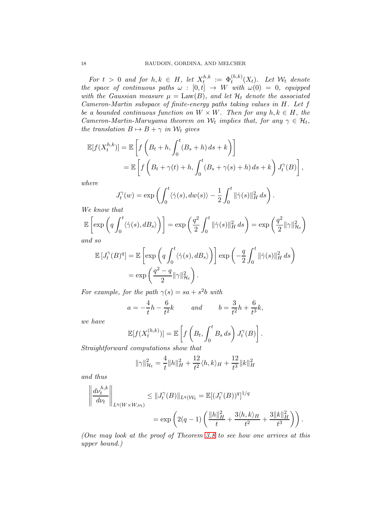For  $t > 0$  and for  $h, k \in H$ , let  $X_t^{h,k}$  $\Phi_t^{h,k} := \Phi_t^{(h,k)}(X_t)$ . Let  $\mathcal{W}_t$  denote the space of continuous paths  $\omega : [0,t] \rightarrow W$  with  $\omega(0) = 0$ , equipped with the Gaussian measure  $\mu = \text{Law}(B)$ , and let  $\mathcal{H}_t$  denote the associated Cameron-Martin subspace of finite-energy paths taking values in H. Let f be a bounded continuous function on  $W \times W$ . Then for any  $h, k \in H$ , the Cameron-Martin-Maruyama theorem on  $W_t$  implies that, for any  $\gamma \in \mathcal{H}_t$ , the translation  $B \mapsto B + \gamma$  in  $\mathcal{W}_t$  gives

$$
\mathbb{E}[f(X_t^{h,k})] = \mathbb{E}\left[f\left(B_t + h, \int_0^t (B_s + h) ds + k\right)\right]
$$
  
= 
$$
\mathbb{E}\left[f\left(B_t + \gamma(t) + h, \int_0^t (B_s + \gamma(s) + h) ds + k\right) J_t^{\gamma}(B)\right],
$$

where

$$
J_t^{\gamma}(w) = \exp \left( \int_0^t \langle \dot{\gamma}(s), dw(s) \rangle - \frac{1}{2} \int_0^t ||\dot{\gamma}(s)||_H^2 ds \right).
$$

We know that

$$
\mathbb{E}\left[\exp\left(q\int_0^t \langle \dot{\gamma}(s), dB_s \rangle\right)\right] = \exp\left(\frac{q^2}{2}\int_0^t \|\dot{\gamma}(s)\|_H^2 ds\right) = \exp\left(\frac{q^2}{2}\|\gamma\|_{\mathcal{H}_t}^2\right)
$$
  
and so

and so

$$
\mathbb{E}\left[J_t^{\gamma}(B)^q\right] = \mathbb{E}\left[\exp\left(q\int_0^t \langle \dot{\gamma}(s), dB_s \rangle\right)\right] \exp\left(-\frac{q}{2}\int_0^t \|\dot{\gamma}(s)\|_H^2 ds\right)
$$

$$
= \exp\left(\frac{q^2 - q}{2} \|\gamma\|_{\mathcal{H}_t}^2\right).
$$

For example, for the path  $\gamma(s) = sa + s^2b$  with

$$
a = -\frac{4}{t}h - \frac{6}{t^2}k
$$
 and  $b = \frac{3}{t^2}h + \frac{6}{t^3}k$ ,

we have

$$
\mathbb{E}[f(X_t^{(h,k)})] = \mathbb{E}\left[f\left(B_t, \int_0^t B_s ds\right) J_t^{\gamma}(B)\right].
$$
  
1 computations show that

Straightforward computations show that

$$
\|\gamma\|_{\mathcal{H}_t}^2 = \frac{4}{t} \|h\|_H^2 + \frac{12}{t^2} \langle h, k \rangle_H + \frac{12}{t^3} \|k\|_H^2
$$

and thus

$$
\left\| \frac{d\nu_t^{h,k}}{d\nu_t} \right\|_{L^q(W \times W, \nu_t)} \leq \| J_t^{\gamma}(B) \|_{L^q(W_t)} = \mathbb{E}[(J_t^{\gamma}(B))^q]^{1/q}
$$

$$
= \exp\left( 2(q-1) \left( \frac{\|h\|_H^2}{t} + \frac{3\langle h, k \rangle_H}{t^2} + \frac{3\|k\|_H^2}{t^3} \right) \right).
$$

(One may look at the proof of Theorem [3.8](#page-19-0) to see how one arrives at this upper bound.)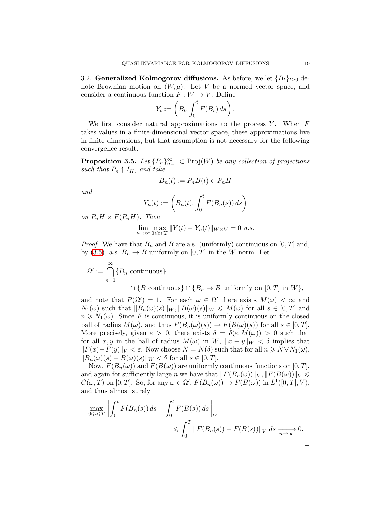<span id="page-18-0"></span>3.2. Generalized Kolmogorov diffusions. As before, we let  ${B_t}_{t\geq0}$  denote Brownian motion on  $(W, \mu)$ . Let V be a normed vector space, and consider a continuous function  $F: W \to V$ . Define

$$
Y_t := \left(B_t, \int_0^t F(B_s) \, ds\right).
$$

We first consider natural approximations to the process  $Y$ . When  $F$ takes values in a finite-dimensional vector space, these approximations live in finite dimensions, but that assumption is not necessary for the following convergence result.

<span id="page-18-1"></span>**Proposition 3.5.** Let  $\{P_n\}_{n=1}^{\infty} \subset \text{Proj}(W)$  be any collection of projections such that  $P_n \uparrow I_H$ , and take

$$
B_n(t) := P_n B(t) \in P_n H
$$

and

$$
Y_n(t) := \left(B_n(t), \int_0^t F(B_n(s)) ds\right)
$$

on  $P_nH \times F(P_nH)$ . Then

$$
\lim_{n \to \infty} \max_{0 \leq t \leq T} ||Y(t) - Y_n(t)||_{W \times V} = 0 \text{ a.s.}
$$

*Proof.* We have that  $B_n$  and B are a.s. (uniformly) continuous on [0, T] and, by [\(3.5\)](#page-15-1), a.s.  $B_n \to B$  uniformly on  $[0, T]$  in the W norm. Let

 $\Omega' \coloneqq \bigcap^{\infty}$  $n=1$  ${B_n \text{ continuous}}$ 

 $\cap$  {B continuous}  $\cap$  {B<sub>n</sub>  $\rightarrow$  B uniformly on [0, T] in W},

and note that  $P(\Omega') = 1$ . For each  $\omega \in \Omega'$  there exists  $M(\omega) < \infty$  and  $N_1(\omega)$  such that  $||B_n(\omega)(s)||_W, ||B(\omega)(s)||_W \leq M(\omega)$  for all  $s \in [0, T]$  and  $n \geq N_1(\omega)$ . Since F is continuous, it is uniformly continuous on the closed ball of radius  $M(\omega)$ , and thus  $F(B_n(\omega)(s)) \to F(B(\omega)(s))$  for all  $s \in [0, T]$ . More precisely, given  $\varepsilon > 0$ , there exists  $\delta = \delta(\varepsilon, M(\omega)) > 0$  such that for all x, y in the ball of radius  $M(\omega)$  in W,  $||x - y||_W < \delta$  implies that  $||F(x)-F(y)||_V < \varepsilon$ . Now choose  $N = N(\delta)$  such that for all  $n \geq N \vee N_1(\omega)$ ,  $||B_n(\omega)(s) - B(\omega)(s)||_W < \delta$  for all  $s \in [0, T]$ .

Now,  $F(B_n(\omega))$  and  $F(B(\omega))$  are uniformly continuous functions on [0, T], and again for sufficiently large n we have that  $||F(B_n(\omega))||_V, ||F(B(\omega))||_V \leq$  $C(\omega, T)$  on [0, T]. So, for any  $\omega \in \Omega'$ ,  $F(B_n(\omega)) \to F(B(\omega))$  in  $L^1([0, T], V)$ , and thus almost surely

$$
\max_{0 \le t \le T} \left\| \int_0^t F(B_n(s)) ds - \int_0^t F(B(s)) ds \right\|_V
$$
  
 
$$
\le \int_0^T \left\| F(B_n(s)) - F(B(s)) \right\|_V ds \xrightarrow[n \to \infty]{} 0.
$$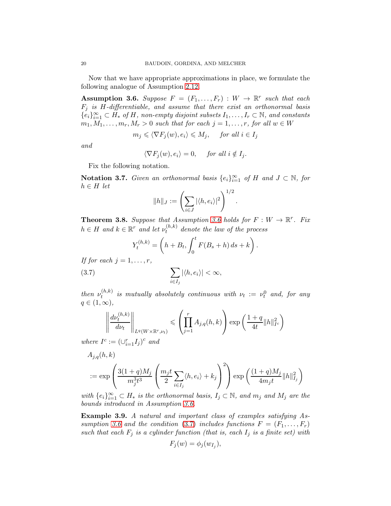Now that we have appropriate approximations in place, we formulate the following analogue of Assumption [2.12.](#page-11-0)

<span id="page-19-1"></span>**Assumption 3.6.** Suppose  $F = (F_1, \ldots, F_r) : W \to \mathbb{R}^r$  such that each  $F_j$  is H-differentiable, and assume that there exist an orthonormal basis  ${e_i}_{i=1}^{\infty} \subset H_*$  of H, non-empty disjoint subsets  $I_1, \ldots, I_r \subset \mathbb{N}$ , and constants  $m_1, M_1, \ldots, m_r, M_r > 0$  such that for each  $j = 1, \ldots, r$ , for all  $w \in W$ 

$$
m_j \leq \langle \nabla F_j(w), e_i \rangle \leq M_j
$$
, for all  $i \in I_j$ 

and

$$
\langle \nabla F_j(w), e_i \rangle = 0, \quad \text{for all } i \notin I_j.
$$

Fix the following notation.

Notation 3.7. Given an orthonormal basis  $\{e_i\}_{i=1}^{\infty}$  of H and  $J \subset \mathbb{N}$ , for  $h \in H$  let

$$
||h||_J := \left(\sum_{i \in J} |\langle h, e_i \rangle|^2\right)^{1/2}
$$

.

<span id="page-19-0"></span>**Theorem 3.8.** Suppose that Assumption [3.6](#page-19-1) holds for  $F: W \to \mathbb{R}^r$ . Fix  $h \in H$  and  $k \in \mathbb{R}^r$  and let  $\nu_t^{(h,k)}$  $t_t^{(h,\kappa)}$  denote the law of the process

<span id="page-19-2"></span>
$$
Y_t^{(h,k)} = \left(h + B_t, \int_0^t F(B_s + h) ds + k\right).
$$

If for each  $j = 1, \ldots, r$ ,

$$
\sum_{i \in I_j} |\langle h, e_i \rangle| < \infty,
$$

then  $\nu_t^{(h,k)}$  $t_t^{(h,k)}$  is mutually absolutely continuous with  $\nu_t := \nu_t^0$  and, for any  $q \in (1,\infty),$ 

$$
\left\| \frac{d\nu_t^{(h,k)}}{d\nu_t} \right\|_{L^q(W \times \mathbb{R}^r, \nu_t)} \leqslant \left( \prod_{j=1}^r A_{j,q}(h,k) \right) \exp\left( \frac{1+q}{4t} \|h\|_{I^c}^2 \right)
$$

where  $I^c := (\cup_{i=1}^r I_j)^c$  and

$$
A_{j,q}(h,k)
$$
  
 :=  $\exp\left(\frac{3(1+q)M_j}{m_j^3t^3}\left(\frac{m_jt}{2}\sum_{i\in I_j}\langle h,e_i\rangle + k_j\right)^2\right) \exp\left(\frac{(1+q)M_j}{4m_jt}\|h\|_{I_j}^2\right)$   
  $\dots$ 

with  $\{e_i\}_{i=1}^{\infty} \subset H_*$  is the orthonormal basis,  $I_j \subset \mathbb{N}$ , and  $m_j$  and  $M_j$  are the bounds introduced in Assumption [3.6.](#page-19-1)

Example 3.9. A natural and important class of examples satisfying As-sumption [3.6](#page-19-1) and the condition [\(3.7\)](#page-19-2) includes functions  $F = (F_1, \ldots, F_r)$ such that each  $F_i$  is a cylinder function (that is, each  $I_i$  is a finite set) with

$$
F_j(w) = \phi_j(w_{I_j}),
$$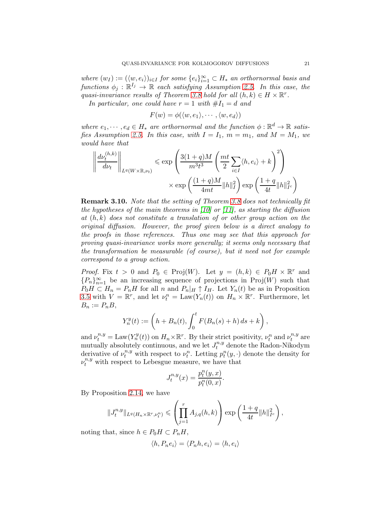where  $(w_I) := (\langle w, e_i \rangle)_{i \in I}$  for some  $\{e_i\}_{i=1}^{\infty} \subset H_*$  an orthornormal basis and functions  $\phi_j : \mathbb{R}^{I_j} \to \mathbb{R}$  each satisfying Assumption [2.5.](#page-7-0) In this case, the quasi-invariance results of Theorem [3.8](#page-19-0) hold for all  $(h, k) \in H \times \mathbb{R}^r$ .

In particular, one could have  $r = 1$  with  $#I_1 = d$  and

$$
F(w) = \phi(\langle w, e_1 \rangle, \cdots, \langle w, e_d \rangle)
$$

where  $e_1, \dots, e_d \in H_*$  are orthornormal and the function  $\phi : \mathbb{R}^d \to \mathbb{R}$  satis-fies Assumption [2.5.](#page-7-0) In this case, with  $I = I_1$ ,  $m = m_1$ , and  $M = M_1$ , we would have that

$$
\left\| \frac{d\nu_t^{(h,k)}}{d\nu_t} \right\|_{L^q(W \times \mathbb{R}, \nu_t)} \le \exp\left( \frac{3(1+q)M}{m^3 t^3} \left( \frac{mt}{2} \sum_{i \in I} \langle h, e_i \rangle + k \right)^2 \right) \times \exp\left( \frac{(1+q)M}{4mt} ||h||_I^2 \right) \exp\left( \frac{1+q}{4t} ||h||_{I^c}^2 \right)
$$

Remark 3.10. Note that the setting of Theorem [3.8](#page-19-0) does not technically fit the hypotheses of the main theorems in [\[10\]](#page-26-1) or [\[11\]](#page-26-2), as starting the diffusion at  $(h, k)$  does not constitute a translation of or other group action on the original diffusion. However, the proof given below is a direct analogy to the proofs in those references. Thus one may see that this approach for proving quasi-invariance works more generally; it seems only necessary that the transformation be measurable (of course), but it need not for example correspond to a group action.

*Proof.* Fix  $t > 0$  and  $P_0 \in \text{Proj}(W)$ . Let  $y = (h, k) \in P_0H \times \mathbb{R}^r$  and  ${P_n}_{n=1}^{\infty}$  be an increasing sequence of projections in Proj $(W)$  such that  $P_0H \subset H_n = P_nH$  for all n and  $P_n|_H \uparrow I_H$ . Let  $Y_n(t)$  be as in Proposition [3.5](#page-18-1) with  $V = \mathbb{R}^r$ , and let  $\nu_t^n = \text{Law}(Y_n(t))$  on  $H_n \times \mathbb{R}^r$ . Furthermore, let  $B_n := P_n B$ ,

$$
Y_n^y(t) := \left(h + B_n(t), \int_0^t F(B_n(s) + h) ds + k\right),
$$

and  $\nu_t^{n,y} = \text{Law}(Y_n^y(t))$  on  $H_n \times \mathbb{R}^r$ . By their strict positivity,  $\nu_t^n$  and  $\nu_t^{n,y}$  $t^{n,y}$  are mutually absolutely continuous, and we let  $J_t^{n,y}$  denote the Radon-Nikodym derivative of  $\nu_t^{n,y}$  with respect to  $\nu_t^n$ . Letting  $p_t^n(y, \cdot)$  denote the density for  $\nu_t^{n,y}$  with respect to Lebesgue measure, we have that

$$
J_t^{n,y}(x) = \frac{p_t^n(y, x)}{p_t^n(0, x)}.
$$

By Proposition [2.14,](#page-12-0) we have

$$
||J_t^{n,y}||_{L^q(H_n \times \mathbb{R}^r, \nu_t^n)} \leqslant \left(\prod_{j=1}^r A_{j,q}(h,k)\right) \exp\left(\frac{1+q}{4t}||h||_{I^c}^2\right),
$$

noting that, since  $h \in P_0H \subset P_nH$ ,

$$
\langle h, P_n e_i \rangle = \langle P_n h, e_i \rangle = \langle h, e_i \rangle
$$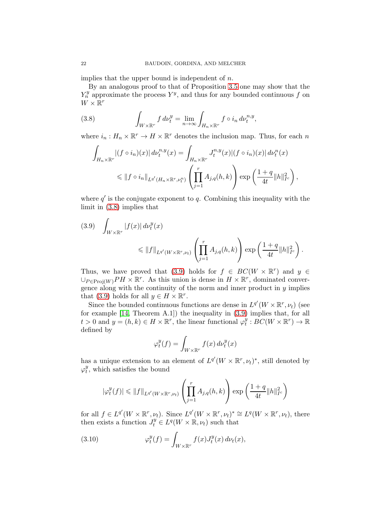implies that the upper bound is independent of  $n$ .

By an analogous proof to that of Proposition [3.5](#page-18-1) one may show that the  $Y_n^y$  approximate the process  $Y^y$ , and thus for any bounded continuous f on  $W \times \mathbb{R}^r$ 

(3.8) 
$$
\int_{W\times\mathbb{R}^r} f d\nu_t^y = \lim_{n\to\infty} \int_{H_n\times\mathbb{R}^r} f \circ i_n d\nu_t^{n,y},
$$

where  $i_n: H_n \times \mathbb{R}^r \to H \times \mathbb{R}^r$  denotes the inclusion map. Thus, for each n

<span id="page-21-0"></span>
$$
\int_{H_n \times \mathbb{R}^r} |(f \circ i_n)(x)| d\nu_t^{n,y}(x) = \int_{H_n \times \mathbb{R}^r} J_t^{n,y}(x) |(f \circ i_n)(x)| d\nu_t^n(x)
$$
\n
$$
\leq \|f \circ i_n\|_{L^{q'}(H_n \times \mathbb{R}^r, \nu_t^n)} \left(\prod_{j=1}^r A_{j,q}(h,k)\right) \exp\left(\frac{1+q}{4t} \|h\|_{I^c}^2\right),
$$

where  $q'$  is the conjugate exponent to  $q$ . Combining this inequality with the limit in [\(3.8\)](#page-21-0) implies that

<span id="page-21-1"></span>
$$
(3.9) \quad \int_{W \times \mathbb{R}^r} |f(x)| \, d\nu_t^y(x) \le \|f\|_{L^{q'}(W \times \mathbb{R}^r, \nu_t)} \left(\prod_{j=1}^r A_{j,q}(h,k)\right) \exp\left(\frac{1+q}{4t} \|h\|_{I^c}^2\right).
$$

Thus, we have proved that [\(3.9\)](#page-21-1) holds for  $f \in BC(W \times \mathbb{R}^r)$  and  $y \in$  $\cup_{P \in \text{Proj}(W)} PH \times \mathbb{R}^r$ . As this union is dense in  $H \times \mathbb{R}^r$ , dominated convergence along with the continuity of the norm and inner product in  $y$  implies that [\(3.9\)](#page-21-1) holds for all  $y \in H \times \mathbb{R}^r$ .

Since the bounded continuous functions are dense in  $L^{q'}(W \times \mathbb{R}^r, \nu_t)$  (see for example [\[14,](#page-26-13) Theorem A.1]) the inequality in [\(3.9\)](#page-21-1) implies that, for all  $t > 0$  and  $y = (h, k) \in H \times \mathbb{R}^r$ , the linear functional  $\varphi_t^y$  $t^y : BC(W \times \mathbb{R}^r) \to \mathbb{R}$ defined by

$$
\varphi_t^y(f) = \int_{W \times \mathbb{R}^r} f(x) \, d\nu_t^y(x)
$$

has a unique extension to an element of  $L^{q'}(W \times \mathbb{R}^r, \nu_t)^*$ , still denoted by  $\varphi_t^y$  $t<sub>t</sub><sup>y</sup>$ , which satisfies the bound

$$
|\varphi^y_t(f)| \leqslant \|f\|_{L^{q'}(W \times \mathbb{R}^r, \nu_t)} \left( \prod_{j=1}^r A_{j,q}(h,k) \right) \exp \left( \frac{1+q}{4t} \|h\|_{I^c}^2 \right)
$$

for all  $f \in L^{q'}(W \times \mathbb{R}^r, \nu_t)$ . Since  $L^{q'}(W \times \mathbb{R}^r, \nu_t)^* \cong L^q(W \times \mathbb{R}^r, \nu_t)$ , there then exists a function  $J_t^y \in L^q(W \times \mathbb{R}, \nu_t)$  such that

<span id="page-21-2"></span>(3.10) 
$$
\varphi_t^y(f) = \int_{W \times \mathbb{R}^r} f(x) J_t^y(x) d\nu_t(x),
$$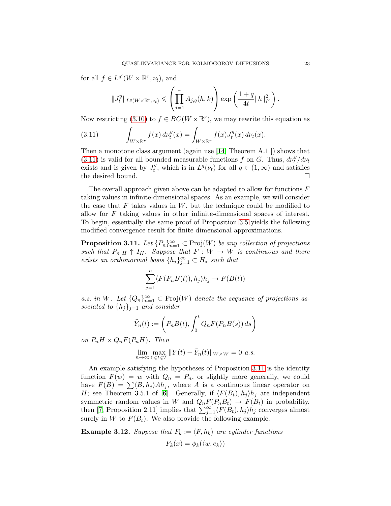for all  $f \in L^{q'}(W \times \mathbb{R}^r, \nu_t)$ , and

$$
||J_t^y||_{L^q(W\times \mathbb{R}^r,\nu_t)} \leqslant \left(\prod_{j=1}^r A_{j,q}(h,k)\right) \exp\left(\frac{1+q}{4t}||h||_{I^c}^2\right).
$$

Now restricting [\(3.10\)](#page-21-2) to  $f \in BC(W \times \mathbb{R}^r)$ , we may rewrite this equation as

<span id="page-22-0"></span>(3.11) 
$$
\int_{W\times\mathbb{R}^r} f(x) d\nu_t^y(x) = \int_{W\times\mathbb{R}^r} f(x) J_t^y(x) d\nu_t(x).
$$

Then a monotone class argument (again use [\[14,](#page-26-13) Theorem A.1 ]) shows that [\(3.11\)](#page-22-0) is valid for all bounded measurable functions f on G. Thus,  $d\nu_t^y/d\nu_t$ exists and is given by  $J_t^y$  $t<sup>y</sup>$ , which is in  $L<sup>q</sup>(\nu_t)$  for all  $q \in (1,\infty)$  and satisfies the desired bound.  $\hfill \square$ 

The overall approach given above can be adapted to allow for functions  $F$ taking values in infinite-dimensional spaces. As an example, we will consider the case that  $F$  takes values in  $W$ , but the technique could be modified to allow for  $F$  taking values in other infinite-dimensional spaces of interest. To begin, essentially the same proof of Proposition [3.5](#page-18-1) yields the following modified convergence result for finite-dimensional approximations.

<span id="page-22-1"></span>**Proposition 3.11.** Let  ${P_n}_{n=1}^{\infty} \subset \text{Proj}(W)$  be any collection of projections such that  $P_n|_H \uparrow I_H$ . Suppose that  $F: W \to W$  is continuous and there exists an orthonormal basis  $\{h_j\}_{j=1}^{\infty} \subset H_*$  such that

$$
\sum_{j=1}^{n} \langle F(P_n B(t)), h_j \rangle h_j \to F(B(t))
$$

a.s. in W. Let  ${Q_n}_{n=1}^{\infty} \subset \text{Proj}(W)$  denote the sequence of projections associated to  $\{h_j\}_{j=1}$  and consider

$$
\tilde{Y}_n(t) := \left(P_n B(t), \int_0^t Q_n F(P_n B(s)) ds\right)
$$

on  $P_nH \times Q_nF(P_nH)$ . Then

$$
\lim_{n \to \infty} \max_{0 \le t \le T} ||Y(t) - \tilde{Y}_n(t)||_{W \times W} = 0 \text{ a.s.}
$$

An example satisfying the hypotheses of Proposition [3.11](#page-22-1) is the identity function  $F(w) = w$  with  $Q_n = P_n$ , or slightly more generally, we could have  $F(B) = \sum \langle B, h_i \rangle Ah_i$ , where A is a continuous linear operator on H; see Theorem 3.5.1 of [\[6\]](#page-26-9). Generally, if  $\langle F(B_t), h_i \rangle h_i$  are independent symmetric random values in W and  $Q_n F(P_n B_t) \to F(B_t)$  in probability, then [\[7,](#page-26-14) Proposition 2.11] implies that  $\sum_{j=1}^{\infty} \langle F(B_t), h_j \rangle h_j$  converges almost surely in W to  $F(B_t)$ . We also provide the following example.

<span id="page-22-2"></span>**Example 3.12.** Suppose that  $F_k := \langle F, h_k \rangle$  are cylinder functions

$$
F_k(x) = \phi_k(\langle w, e_k \rangle)
$$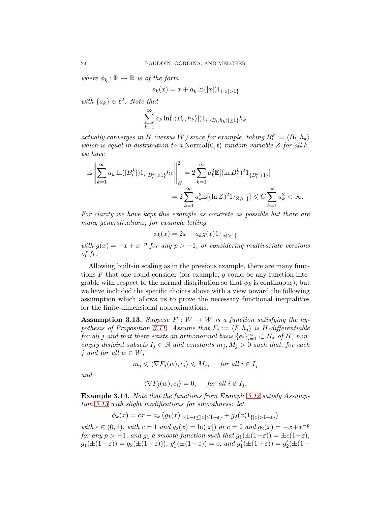where  $\phi_k : \mathbb{R} \to \mathbb{R}$  is of the form

$$
\phi_k(x) = x + a_k \ln(|x|) 1_{\{|x| > 1\}}
$$

with  $\{a_k\} \in \ell^2$ . Note that

$$
\sum_{k=1}^{\infty} a_k \ln(|\langle B_t, h_k \rangle|) \mathbb{1}_{\{|\langle B_t, h_k \rangle| \ge 1\}} h_k
$$

actually converges in H (versus W) since for example, taking  $B_t^k := \langle B_t, h_k \rangle$ which is equal in distribution to a Normal $(0, t)$  random variable Z for all k, we have

$$
\mathbb{E}\left\|\sum_{k=1}^{\infty} a_k \ln(|B_t^k|) 1_{\{|B_t^k|\geq 1\}} h_k\right\|_H^2 = 2 \sum_{k=1}^{\infty} a_k^2 \mathbb{E}[(\ln B_t^k)^2 1_{\{B_t^k\geq 1\}}] \n= 2 \sum_{k=1}^{\infty} a_k^2 \mathbb{E}[(\ln Z)^2 1_{\{Z\geq 1\}}] \leq C \sum_{k=1}^{\infty} a_k^2 < \infty.
$$

For clarity we have kept this example as concrete as possible but there are many generalizations, for example letting

$$
\phi_k(x) = 2x + a_k g(x) 1_{\{|x| > 1\}}
$$

with  $g(x) = -x + x^{-p}$  for any  $p > -1$ , or considering multivariate versions of  $f_k$ .

Allowing built-in scaling as in the previous example, there are many functions  $F$  that one could consider (for example, q could be any function integrable with respect to the normal distribution so that  $\phi_k$  is continuous), but we have included the specific choices above with a view toward the following assumption which allows us to prove the necessary functional inequalities for the finite-dimensional approximations.

<span id="page-23-0"></span>**Assumption 3.13.** Suppose  $F : W \to W$  is a function satisfying the hy-pothesis of Proposition [3.11.](#page-22-1) Assume that  $F_j := \langle F, h_j \rangle$  is H-differentiable for all j and that there exists an orthonormal basis  $\{e_i\}_{i=1}^{\infty} \subset H_*$  of  $H$ , nonempty disjoint subsets  $I_j \subset \mathbb{N}$  and constants  $m_j, M_j > 0$  such that, for each j and for all  $w \in W$ ,

$$
m_j \leq \langle \nabla F_j(w), e_i \rangle \leq M_j
$$
, for all  $i \in I_j$ 

and

$$
\langle \nabla F_j(w), e_i \rangle = 0, \quad \text{for all } i \notin I_j.
$$

<span id="page-23-1"></span>Example 3.14. Note that the functions from Example [3.12](#page-22-2) satisfy Assumption [3.13](#page-23-0) with slight modifications for smoothness: let

$$
\phi_k(x) = cx + a_k \left( g_1(x) 1_{\{1-\varepsilon \le |x| \le 1+\varepsilon\}} + g_2(x) 1_{\{|x| > 1+\varepsilon\}} \right)
$$

with  $\varepsilon \in (0, 1)$ , with  $c = 1$  and  $g_2(x) = \ln(|x|)$  or  $c = 2$  and  $g_2(x) = -x + x^{-p}$ for any  $p > -1$ , and  $g_1$  a smooth function such that  $g_1(\pm(1-\varepsilon)) = \pm c(1-\varepsilon)$ ,  $g_1(\pm(1+\varepsilon)) = g_2(\pm(1+\varepsilon))$ ,  $g'_1(\pm(1-\varepsilon)) = c$ , and  $g'_1(\pm(1+\varepsilon)) = g'_2(\pm(1+\varepsilon))$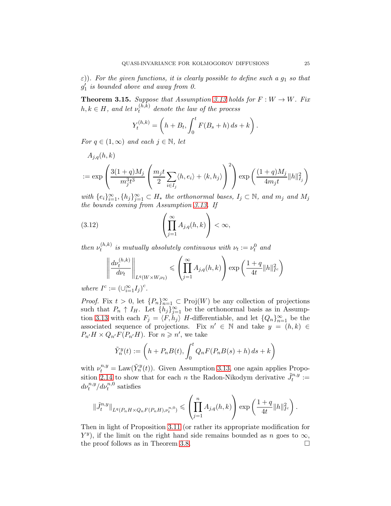$\varepsilon$ )). For the given functions, it is clearly possible to define such a  $g_1$  so that  $g'_1$  is bounded above and away from 0.

<span id="page-24-0"></span>**Theorem 3.15.** Suppose that Assumption [3.13](#page-23-0) holds for  $F: W \to W$ . Fix  $h, k \in H$ , and let  $\nu_t^{(h,k)}$  $t_t^{(h,\kappa)}$  denote the law of the process

$$
Y_t^{(h,k)} = \left(h + B_t, \int_0^t F(B_s + h) ds + k\right).
$$

For  $q \in (1,\infty)$  and each  $j \in \mathbb{N}$ , let

$$
A_{j,q}(h,k)
$$
  
 :=  $\exp\left(\frac{3(1+q)M_j}{m_j^3t^3}\left(\frac{m_jt}{2}\sum_{i\in I_j}\langle h,e_i\rangle + \langle k,h_j\rangle\right)^2\right)\exp\left(\frac{(1+q)M_j}{4m_jt}\|h\|_{I_j}^2\right)$ 

with  $\{e_i\}_{i=1}^{\infty}, \{h_j\}_{j=1}^{\infty} \subset H_*$  the orthonormal bases,  $I_j \subset \mathbb{N}$ , and  $m_j$  and  $M_j$ the bounds coming from Assumption [3.13.](#page-23-0) If

(3.12) 
$$
\left(\prod_{j=1}^{\infty} A_{j,q}(h,k)\right) < \infty,
$$

then  $\nu_t^{(h,k)}$  $t_t^{(h,k)}$  is mutually absolutely continuous with  $\nu_t := \nu_t^0$  and

<span id="page-24-1"></span>
$$
\left\| \frac{d\nu_t^{(h,k)}}{d\nu_t} \right\|_{L^q(W \times W, \nu_t)} \leqslant \left( \prod_{j=1}^{\infty} A_{j,q}(h,k) \right) \exp\left( \frac{1+q}{4t} \|h\|_{I^c}^2 \right)
$$

where  $I^c := (\cup_{i=1}^{\infty} I_j)^c$ .

*Proof.* Fix  $t > 0$ , let  $\{P_n\}_{n=1}^{\infty} \subset \text{Proj}(W)$  be any collection of projections such that  $P_n \uparrow I_H$ . Let  $\{h_j\}_{j=1}^{\infty}$  be the orthonormal basis as in Assump-tion [3.13](#page-23-0) with each  $F_j = \langle F, h_j \rangle$  H-differentiable, and let  $\{Q_n\}_{n=1}^{\infty}$  be the associated sequence of projections. Fix  $n' \in \mathbb{N}$  and take  $y = (h, k) \in$  $P_{n'}H \times Q_{n'}F(P_{n'}H)$ . For  $n \geq n'$ , we take

$$
\tilde{Y}_n^y(t) := \left(h + P_n B(t), \int_0^t Q_n F(P_n B(s) + h) ds + k\right)
$$

with  $\nu_t^{n,y} = \text{Law}(\tilde{Y}_n^y(t))$ . Given Assumption [3.13,](#page-23-0) one again applies Propo-sition [2.14](#page-12-0) to show that for each *n* the Radon-Nikodym derivative  $\tilde{J}_t^{n,y} :=$  $d\nu_t^{n,y}/d\nu_t^{n,0}$  satisfies

$$
\|\tilde{J}_t^{n,y}\|_{L^q(P_nH \times Q_nF(P_nH),\nu_t^{n,0})} \leqslant \left(\prod_{j=1}^n A_{j,q}(h,k)\right) \exp\left(\frac{1+q}{4t}||h||_{I^c}^2\right).
$$

Then in light of Proposition [3.11](#page-22-1) (or rather its appropriate modification for  $Y^y$ ), if the limit on the right hand side remains bounded as n goes to  $\infty$ , the proof follows as in Theorem [3.8.](#page-19-0) □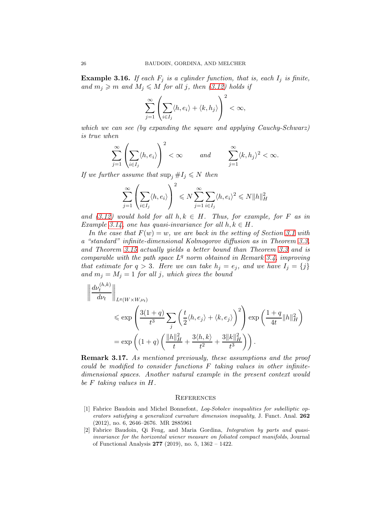<span id="page-25-2"></span>**Example 3.16.** If each  $F_i$  is a cylinder function, that is, each  $I_i$  is finite, and  $m_j \geq m$  and  $M_j \leq M$  for all j, then [\(3.12\)](#page-24-1) holds if

$$
\sum_{j=1}^{\infty} \left( \sum_{i \in I_j} \langle h, e_i \rangle + \langle k, h_j \rangle \right)^2 < \infty,
$$

which we can see (by expanding the square and applying Cauchy-Schwarz) is true when

$$
\sum_{j=1}^{\infty} \left( \sum_{i \in I_j} \langle h, e_i \rangle \right)^2 < \infty \qquad \text{and} \qquad \sum_{j=1}^{\infty} \langle k, h_j \rangle^2 < \infty.
$$

If we further assume that  $\sup_j \#I_j \leq N$  then

$$
\sum_{j=1}^{\infty} \left( \sum_{i \in I_j} \langle h, e_i \rangle \right)^2 \leq N \sum_{j=1}^{\infty} \sum_{i \in I_j} \langle h, e_i \rangle^2 \leq N ||h||_H^2
$$

and [\(3.12\)](#page-24-1) would hold for all  $h, k \in H$ . Thus, for example, for F as in Example [3.14,](#page-23-1) one has quasi-invariance for all  $h, k \in H$ .

In the case that  $F(w) = w$ , we are back in the setting of Section [3.1](#page-14-0) with a "standard" infinite-dimensional Kolmogorov diffusion as in Theorem [3.3,](#page-16-0) and Theorem [3.15](#page-24-0) actually yields a better bound than Theorem [3.3](#page-16-0) and is comparable with the path space  $L<sup>q</sup>$  norm obtained in Remark [3.4,](#page-16-1) improving that estimate for  $q > 3$ . Here we can take  $h_j = e_j$ , and we have  $I_j = \{j\}$ and  $m_j = M_j = 1$  for all j, which gives the bound

$$
\left\| \frac{d\nu_t^{(h,k)}}{d\nu_t} \right\|_{L^q(W \times W, \nu_t)} \le \exp\left( \frac{3(1+q)}{t^3} \sum_j \left( \frac{t}{2} \langle h, e_j \rangle + \langle k, e_j \rangle \right)^2 \right) \exp\left( \frac{1+q}{4t} \|h\|_H^2 \right) = \exp\left( (1+q) \left( \frac{\|h\|_H^2}{t} + \frac{3\langle h, k \rangle}{t^2} + \frac{3\|k\|_H^2}{t^3} \right) \right).
$$

Remark 3.17. As mentioned previously, these assumptions and the proof could be modified to consider functions  $F$  taking values in other infinitedimensional spaces. Another natural example in the present context would be F taking values in H.

### <span id="page-25-0"></span>**REFERENCES**

- <span id="page-25-3"></span>[1] Fabrice Baudoin and Michel Bonnefont, Log-Sobolev inequalities for subelliptic operators satisfying a generalized curvature dimension inequality, J. Funct. Anal. 262 (2012), no. 6, 2646–2676. MR 2885961
- <span id="page-25-1"></span>[2] Fabrice Baudoin, Qi Feng, and Maria Gordina, Integration by parts and quasiinvariance for the horizontal wiener measure on foliated compact manifolds, Journal of Functional Analysis 277 (2019), no. 5, 1362 – 1422.